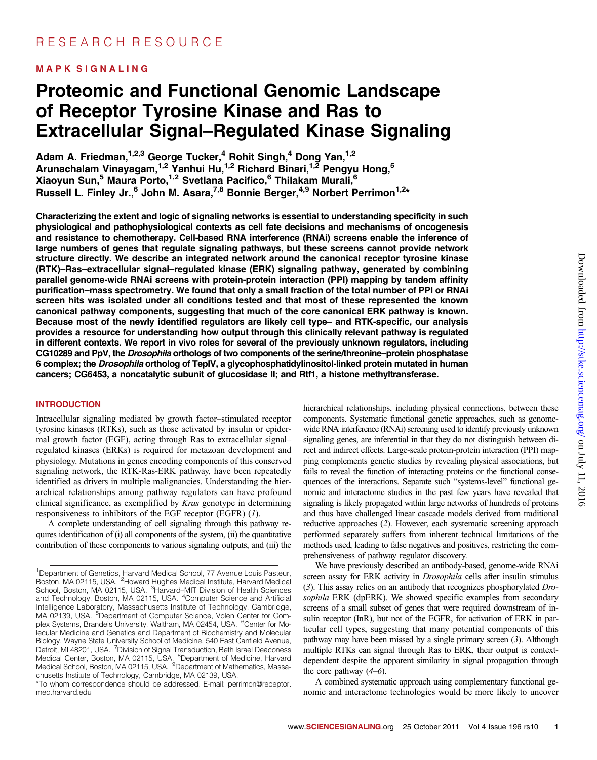### MAPK SIGNALING

# Proteomic and Functional Genomic Landscape of Receptor Tyrosine Kinase and Ras to Extracellular Signal–Regulated Kinase Signaling

Adam A. Friedman,<sup>1,2,3</sup> George Tucker,<sup>4</sup> Rohit Singh,<sup>4</sup> Dong Yan,<sup>1,2</sup> Arunachalam Vinayagam,<sup>1,2</sup> Yanhui Hu,<sup>1,2</sup> Richard Binari,<sup>1,2</sup> Pengyu Hong,<sup>5</sup> Xiaoyun Sun,<sup>5</sup> Maura Porto,<sup>1,2</sup> Svetlana Pacifico,<sup>6</sup> Thilakam Murali,<sup>6</sup> Russell L. Finley Jr.,<sup>6</sup> John M. Asara,<sup>7,8</sup> Bonnie Berger,<sup>4,9</sup> Norbert Perrimon<sup>1,2\*</sup>

Characterizing the extent and logic of signaling networks is essential to understanding specificity in such physiological and pathophysiological contexts as cell fate decisions and mechanisms of oncogenesis and resistance to chemotherapy. Cell-based RNA interference (RNAi) screens enable the inference of large numbers of genes that regulate signaling pathways, but these screens cannot provide network structure directly. We describe an integrated network around the canonical receptor tyrosine kinase (RTK)–Ras–extracellular signal–regulated kinase (ERK) signaling pathway, generated by combining parallel genome-wide RNAi screens with protein-protein interaction (PPI) mapping by tandem affinity purification–mass spectrometry. We found that only a small fraction of the total number of PPI or RNAi screen hits was isolated under all conditions tested and that most of these represented the known canonical pathway components, suggesting that much of the core canonical ERK pathway is known. Because most of the newly identified regulators are likely cell type– and RTK-specific, our analysis provides a resource for understanding how output through this clinically relevant pathway is regulated in different contexts. We report in vivo roles for several of the previously unknown regulators, including CG10289 and PpV, the Drosophila orthologs of two components of the serine/threonine–protein phosphatase 6 complex; the Drosophila ortholog of TepIV, a glycophosphatidylinositol-linked protein mutated in human cancers; CG6453, a noncatalytic subunit of glucosidase II; and Rtf1, a histone methyltransferase.

#### INTRODUCTION

Intracellular signaling mediated by growth factor–stimulated receptor tyrosine kinases (RTKs), such as those activated by insulin or epidermal growth factor (EGF), acting through Ras to extracellular signal– regulated kinases (ERKs) is required for metazoan development and physiology. Mutations in genes encoding components of this conserved signaling network, the RTK-Ras-ERK pathway, have been repeatedly identified as drivers in multiple malignancies. Understanding the hierarchical relationships among pathway regulators can have profound clinical significance, as exemplified by Kras genotype in determining responsiveness to inhibitors of the EGF receptor (EGFR) (1).

A complete understanding of cell signaling through this pathway requires identification of (i) all components of the system, (ii) the quantitative contribution of these components to various signaling outputs, and (iii) the

\*To whom correspondence should be addressed. E-mail: perrimon@receptor. med.harvard.edu

hierarchical relationships, including physical connections, between these components. Systematic functional genetic approaches, such as genomewide RNA interference (RNAi) screening used to identify previously unknown signaling genes, are inferential in that they do not distinguish between direct and indirect effects. Large-scale protein-protein interaction (PPI) mapping complements genetic studies by revealing physical associations, but fails to reveal the function of interacting proteins or the functional consequences of the interactions. Separate such "systems-level" functional genomic and interactome studies in the past few years have revealed that signaling is likely propagated within large networks of hundreds of proteins and thus have challenged linear cascade models derived from traditional reductive approaches (2). However, each systematic screening approach performed separately suffers from inherent technical limitations of the methods used, leading to false negatives and positives, restricting the comprehensiveness of pathway regulator discovery.

We have previously described an antibody-based, genome-wide RNAi screen assay for ERK activity in *Drosophila* cells after insulin stimulus (3). This assay relies on an antibody that recognizes phosphorylated Drosophila ERK (dpERK). We showed specific examples from secondary screens of a small subset of genes that were required downstream of insulin receptor (InR), but not of the EGFR, for activation of ERK in particular cell types, suggesting that many potential components of this pathway may have been missed by a single primary screen (3). Although multiple RTKs can signal through Ras to ERK, their output is contextdependent despite the apparent similarity in signal propagation through the core pathway  $(4-6)$ .

A combined systematic approach using complementary functional genomic and interactome technologies would be more likely to uncover

<sup>&</sup>lt;sup>1</sup>Department of Genetics, Harvard Medical School, 77 Avenue Louis Pasteur,<br>Boston, MA 02115, USA. <sup>2</sup>Howard Hughes Medical Institute, Harvard Medical School, Boston, MA 02115, USA. <sup>3</sup>Harvard-MIT Division of Health Sciences and Technology, Boston, MA 02115, USA. <sup>4</sup>Computer Science and Artificial Intelligence Laboratory, Massachusetts Institute of Technology, Cambridge, MA 02139, USA. <sup>5</sup>Department of Computer Science, Volen Center for Complex Systems, Brandeis University, Waltham, MA 02454, USA. <sup>6</sup>Center for Molecular Medicine and Genetics and Department of Biochemistry and Molecular Biology, Wayne State University School of Medicine, 540 East Canfield Avenue, Detroit, MI 48201, USA. <sup>7</sup> Division of Signal Transduction, Beth Israel Deaconess Medical Center, Boston, MA 02115, USA. <sup>8</sup>Department of Medicine, Harvard Medical School, Boston, MA 02115, USA. <sup>9</sup>Department of Mathematics, Massachusetts Institute of Technology, Cambridge, MA 02139, USA.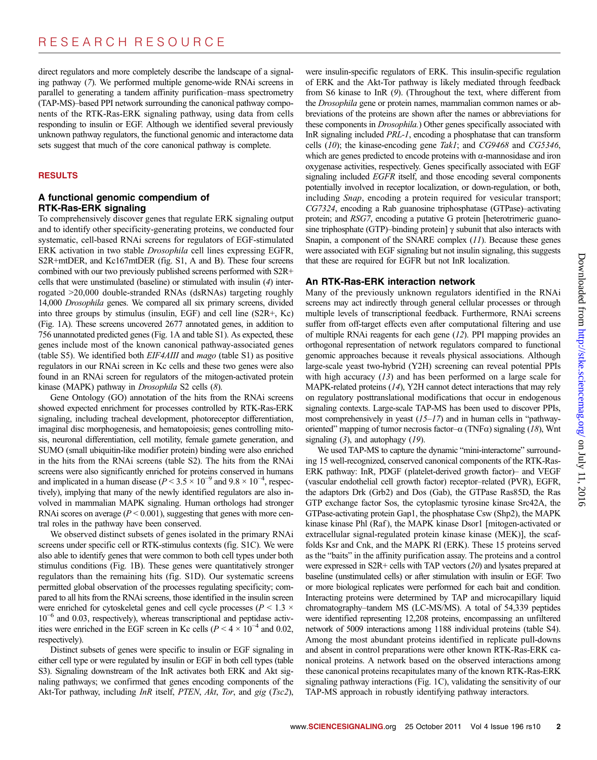direct regulators and more completely describe the landscape of a signaling pathway (7). We performed multiple genome-wide RNAi screens in parallel to generating a tandem affinity purification–mass spectrometry (TAP-MS)–based PPI network surrounding the canonical pathway components of the RTK-Ras-ERK signaling pathway, using data from cells responding to insulin or EGF. Although we identified several previously unknown pathway regulators, the functional genomic and interactome data sets suggest that much of the core canonical pathway is complete.

### **RESULTS**

### A functional genomic compendium of RTK-Ras-ERK signaling

To comprehensively discover genes that regulate ERK signaling output and to identify other specificity-generating proteins, we conducted four systematic, cell-based RNAi screens for regulators of EGF-stimulated ERK activation in two stable Drosophila cell lines expressing EGFR, S2R+mtDER, and Kc167mtDER (fig. S1, A and B). These four screens combined with our two previously published screens performed with S2R+ cells that were unstimulated (baseline) or stimulated with insulin (4) interrogated >20,000 double-stranded RNAs (dsRNAs) targeting roughly 14,000 Drosophila genes. We compared all six primary screens, divided into three groups by stimulus (insulin, EGF) and cell line (S2R+, Kc) (Fig. 1A). These screens uncovered 2677 annotated genes, in addition to 756 unannotated predicted genes (Fig. 1A and table S1). As expected, these genes include most of the known canonical pathway-associated genes (table S5). We identified both EIF4AIII and mago (table S1) as positive regulators in our RNAi screen in Kc cells and these two genes were also found in an RNAi screen for regulators of the mitogen-activated protein kinase (MAPK) pathway in Drosophila S2 cells (8).

Gene Ontology (GO) annotation of the hits from the RNAi screens showed expected enrichment for processes controlled by RTK-Ras-ERK signaling, including tracheal development, photoreceptor differentiation, imaginal disc morphogenesis, and hematopoiesis; genes controlling mitosis, neuronal differentiation, cell motility, female gamete generation, and SUMO (small ubiquitin-like modifier protein) binding were also enriched in the hits from the RNAi screens (table S2). The hits from the RNAi screens were also significantly enriched for proteins conserved in humans and implicated in a human disease ( $P < 3.5 \times 10^{-9}$  and  $9.8 \times 10^{-4}$ , respectively) implying that many of the newly identified regulators are also intively), implying that many of the newly identified regulators are also involved in mammalian MAPK signaling. Human orthologs had stronger RNAi scores on average ( $P < 0.001$ ), suggesting that genes with more central roles in the pathway have been conserved.

We observed distinct subsets of genes isolated in the primary RNAi screens under specific cell or RTK-stimulus contexts (fig. S1C). We were also able to identify genes that were common to both cell types under both stimulus conditions (Fig. 1B). These genes were quantitatively stronger regulators than the remaining hits (fig. S1D). Our systematic screens permitted global observation of the processes regulating specificity; compared to all hits from the RNAi screens, those identified in the insulin screen were enriched for cytoskeletal genes and cell cycle processes ( $P < 1.3 \times$ 10−<sup>6</sup> and 0.03, respectively), whereas transcriptional and peptidase activities were enriched in the EGF screen in Kc cells ( $P < 4 \times 10^{-4}$  and 0.02, respectively).

Distinct subsets of genes were specific to insulin or EGF signaling in either cell type or were regulated by insulin or EGF in both cell types (table S3). Signaling downstream of the InR activates both ERK and Akt signaling pathways; we confirmed that genes encoding components of the Akt-Tor pathway, including InR itself, PTEN, Akt, Tor, and gig (Tsc2),

were insulin-specific regulators of ERK. This insulin-specific regulation of ERK and the Akt-Tor pathway is likely mediated through feedback from S6 kinase to InR (9). (Throughout the text, where different from the Drosophila gene or protein names, mammalian common names or abbreviations of the proteins are shown after the names or abbreviations for these components in Drosophila.) Other genes specifically associated with InR signaling included PRL-1, encoding a phosphatase that can transform cells (10); the kinase-encoding gene Tak1; and CG9468 and CG5346, which are genes predicted to encode proteins with  $\alpha$ -mannosidase and iron oxygenase activities, respectively. Genes specifically associated with EGF signaling included EGFR itself, and those encoding several components potentially involved in receptor localization, or down-regulation, or both, including Snap, encoding a protein required for vesicular transport; CG7324, encoding a Rab guanosine triphosphatase (GTPase)–activating protein; and RSG7, encoding a putative G protein [heterotrimeric guanosine triphosphate (GTP)–binding protein]  $\gamma$  subunit that also interacts with Snapin, a component of the SNARE complex (11). Because these genes were associated with EGF signaling but not insulin signaling, this suggests that these are required for EGFR but not InR localization.

### An RTK-Ras-ERK interaction network

Many of the previously unknown regulators identified in the RNAi screens may act indirectly through general cellular processes or through multiple levels of transcriptional feedback. Furthermore, RNAi screens suffer from off-target effects even after computational filtering and use of multiple RNAi reagents for each gene (12). PPI mapping provides an orthogonal representation of network regulators compared to functional genomic approaches because it reveals physical associations. Although large-scale yeast two-hybrid (Y2H) screening can reveal potential PPIs with high accuracy (13) and has been performed on a large scale for MAPK-related proteins (14), Y2H cannot detect interactions that may rely on regulatory posttranslational modifications that occur in endogenous signaling contexts. Large-scale TAP-MS has been used to discover PPIs, most comprehensively in yeast  $(15-17)$  and in human cells in "pathwayoriented" mapping of tumor necrosis factor– $\alpha$  (TNF $\alpha$ ) signaling (18), Wnt signaling  $(3)$ , and autophagy  $(19)$ .

We used TAP-MS to capture the dynamic "mini-interactome" surrounding 15 well-recognized, conserved canonical components of the RTK-Ras-ERK pathway: InR, PDGF (platelet-derived growth factor)– and VEGF (vascular endothelial cell growth factor) receptor–related (PVR), EGFR, the adaptors Drk (Grb2) and Dos (Gab), the GTPase Ras85D, the Ras GTP exchange factor Sos, the cytoplasmic tyrosine kinase Src42A, the GTPase-activating protein Gap1, the phosphatase Csw (Shp2), the MAPK kinase kinase Phl (Raf), the MAPK kinase Dsor1 [mitogen-activated or extracellular signal-regulated protein kinase kinase (MEK)], the scaffolds Ksr and Cnk, and the MAPK Rl (ERK). These 15 proteins served as the "baits" in the affinity purification assay. The proteins and a control were expressed in S2R+ cells with TAP vectors (20) and lysates prepared at baseline (unstimulated cells) or after stimulation with insulin or EGF. Two or more biological replicates were performed for each bait and condition. Interacting proteins were determined by TAP and microcapillary liquid chromatography–tandem MS (LC-MS/MS). A total of 54,339 peptides were identified representing 12,208 proteins, encompassing an unfiltered network of 5009 interactions among 1188 individual proteins (table S4). Among the most abundant proteins identified in replicate pull-downs and absent in control preparations were other known RTK-Ras-ERK canonical proteins. A network based on the observed interactions among these canonical proteins recapitulates many of the known RTK-Ras-ERK signaling pathway interactions (Fig. 1C), validating the sensitivity of our TAP-MS approach in robustly identifying pathway interactors.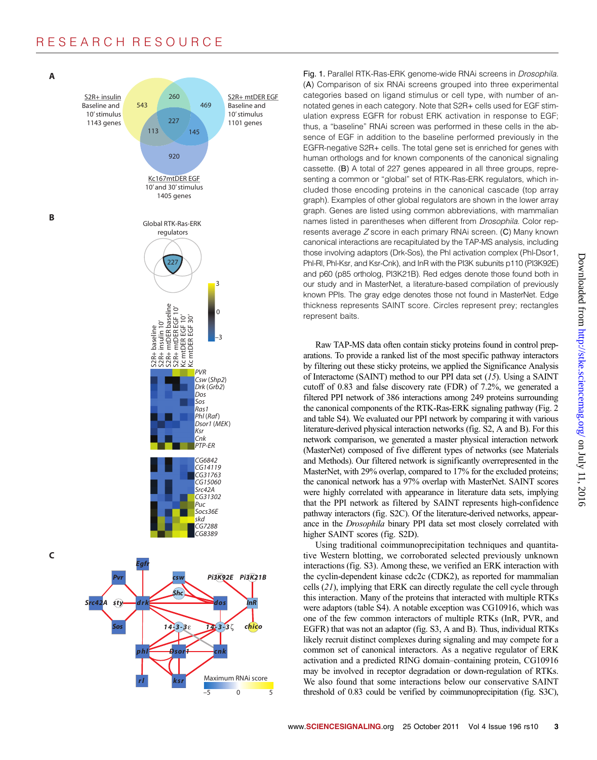

Fig. 1. Parallel RTK-Ras-ERK genome-wide RNAi screens in Drosophila. (A) Comparison of six RNAi screens grouped into three experimental categories based on ligand stimulus or cell type, with number of annotated genes in each category. Note that S2R+ cells used for EGF stimulation express EGFR for robust ERK activation in response to EGF; thus, a "baseline" RNAi screen was performed in these cells in the absence of EGF in addition to the baseline performed previously in the EGFR-negative S2R+ cells. The total gene set is enriched for genes with human orthologs and for known components of the canonical signaling cassette. (B) A total of 227 genes appeared in all three groups, representing a common or "global" set of RTK-Ras-ERK regulators, which included those encoding proteins in the canonical cascade (top array graph). Examples of other global regulators are shown in the lower array graph. Genes are listed using common abbreviations, with mammalian names listed in parentheses when different from Drosophila. Color represents average Z score in each primary RNAi screen. (C) Many known canonical interactions are recapitulated by the TAP-MS analysis, including those involving adaptors (Drk-Sos), the Phl activation complex (Phl-Dsor1, Phl-Rl, Phl-Ksr, and Ksr-Cnk), and InR with the PI3K subunits p110 (PI3K92E) and p60 (p85 ortholog, PI3K21B). Red edges denote those found both in our study and in MasterNet, a literature-based compilation of previously known PPIs. The gray edge denotes those not found in MasterNet. Edge thickness represents SAINT score. Circles represent prey; rectangles represent baits.

Raw TAP-MS data often contain sticky proteins found in control preparations. To provide a ranked list of the most specific pathway interactors by filtering out these sticky proteins, we applied the Significance Analysis of Interactome (SAINT) method to our PPI data set (15). Using a SAINT cutoff of 0.83 and false discovery rate (FDR) of 7.2%, we generated a filtered PPI network of 386 interactions among 249 proteins surrounding the canonical components of the RTK-Ras-ERK signaling pathway (Fig. 2 and table S4). We evaluated our PPI network by comparing it with various literature-derived physical interaction networks (fig. S2, A and B). For this network comparison, we generated a master physical interaction network (MasterNet) composed of five different types of networks (see Materials and Methods). Our filtered network is significantly overrepresented in the MasterNet, with 29% overlap, compared to 17% for the excluded proteins; the canonical network has a 97% overlap with MasterNet. SAINT scores were highly correlated with appearance in literature data sets, implying that the PPI network as filtered by SAINT represents high-confidence pathway interactors (fig. S2C). Of the literature-derived networks, appearance in the Drosophila binary PPI data set most closely correlated with higher SAINT scores (fig. S2D).

Using traditional coimmunoprecipitation techniques and quantitative Western blotting, we corroborated selected previously unknown interactions (fig. S3). Among these, we verified an ERK interaction with the cyclin-dependent kinase cdc2c (CDK2), as reported for mammalian cells (21), implying that ERK can directly regulate the cell cycle through this interaction. Many of the proteins that interacted with multiple RTKs were adaptors (table S4). A notable exception was CG10916, which was one of the few common interactors of multiple RTKs (InR, PVR, and EGFR) that was not an adaptor (fig. S3, A and B). Thus, individual RTKs likely recruit distinct complexes during signaling and may compete for a common set of canonical interactors. As a negative regulator of ERK activation and a predicted RING domain–containing protein, CG10916 may be involved in receptor degradation or down-regulation of RTKs. We also found that some interactions below our conservative SAINT threshold of 0.83 could be verified by coimmunoprecipitation (fig. S3C),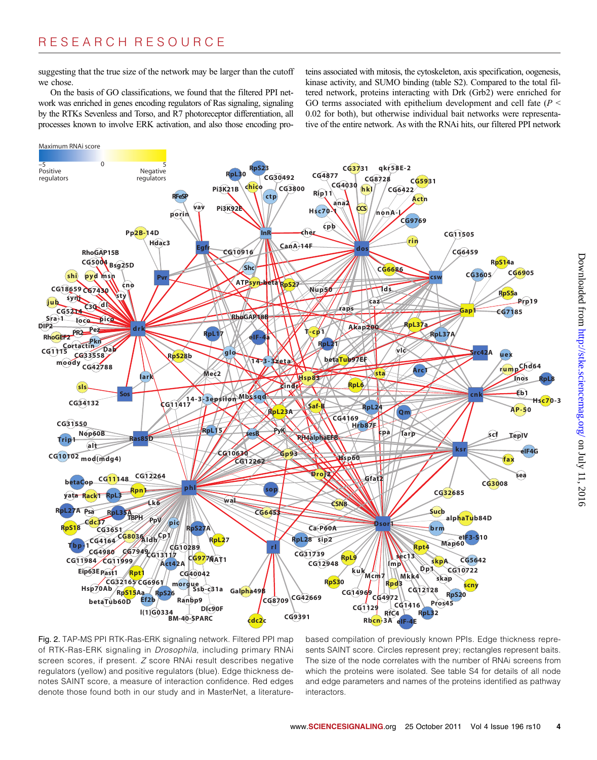suggesting that the true size of the network may be larger than the cutoff we chose.

On the basis of GO classifications, we found that the filtered PPI network was enriched in genes encoding regulators of Ras signaling, signaling by the RTKs Sevenless and Torso, and R7 photoreceptor differentiation, all processes known to involve ERK activation, and also those encoding proteins associated with mitosis, the cytoskeleton, axis specification, oogenesis, kinase activity, and SUMO binding (table S2). Compared to the total filtered network, proteins interacting with Drk (Grb2) were enriched for GO terms associated with epithelium development and cell fate ( $P \leq$ 0.02 for both), but otherwise individual bait networks were representative of the entire network. As with the RNAi hits, our filtered PPI network



Fig. 2. TAP-MS PPI RTK-Ras-ERK signaling network. Filtered PPI map of RTK-Ras-ERK signaling in Drosophila, including primary RNAi screen scores, if present. Z score RNAi result describes negative regulators (yellow) and positive regulators (blue). Edge thickness denotes SAINT score, a measure of interaction confidence. Red edges denote those found both in our study and in MasterNet, a literature-

based compilation of previously known PPIs. Edge thickness represents SAINT score. Circles represent prey; rectangles represent baits. The size of the node correlates with the number of RNAi screens from which the proteins were isolated. See table S4 for details of all node and edge parameters and names of the proteins identified as pathway interactors.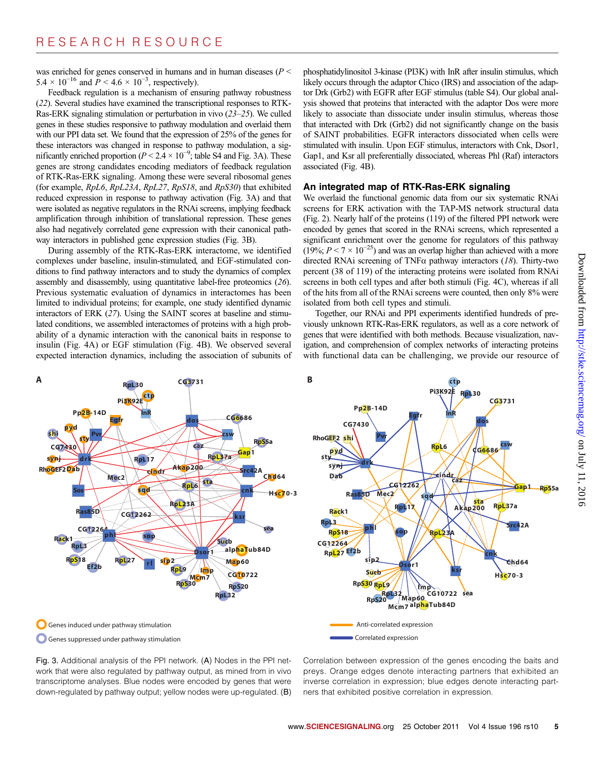was enriched for genes conserved in humans and in human diseases ( $P <$  $5.4 \times 10^{-16}$  and  $\overline{P} < 4.6 \times 10^{-3}$ , respectively).<br>Feedback regulation is a mechanism of en-

Feedback regulation is a mechanism of ensuring pathway robustness (22). Several studies have examined the transcriptional responses to RTK-Ras-ERK signaling stimulation or perturbation in vivo (23–25). We culled genes in these studies responsive to pathway modulation and overlaid them with our PPI data set. We found that the expression of 25% of the genes for these interactors was changed in response to pathway modulation, a significantly enriched proportion ( $P < 2.4 \times 10^{-9}$ ; table S4 and Fig. 3A). These<br>genes are strong candidates encoding mediators of feedback regulation genes are strong candidates encoding mediators of feedback regulation of RTK-Ras-ERK signaling. Among these were several ribosomal genes (for example, RpL6, RpL23A, RpL27, RpS18, and RpS30) that exhibited reduced expression in response to pathway activation (Fig. 3A) and that were isolated as negative regulators in the RNAi screens, implying feedback amplification through inhibition of translational repression. These genes also had negatively correlated gene expression with their canonical pathway interactors in published gene expression studies (Fig. 3B).

During assembly of the RTK-Ras-ERK interactome, we identified complexes under baseline, insulin-stimulated, and EGF-stimulated conditions to find pathway interactors and to study the dynamics of complex assembly and disassembly, using quantitative label-free proteomics (26). Previous systematic evaluation of dynamics in interactomes has been limited to individual proteins; for example, one study identified dynamic interactors of ERK (27). Using the SAINT scores at baseline and stimulated conditions, we assembled interactomes of proteins with a high probability of a dynamic interaction with the canonical baits in response to insulin (Fig. 4A) or EGF stimulation (Fig. 4B). We observed several expected interaction dynamics, including the association of subunits of

phosphatidylinositol 3-kinase (PI3K) with InR after insulin stimulus, which likely occurs through the adaptor Chico (IRS) and association of the adaptor Drk (Grb2) with EGFR after EGF stimulus (table S4). Our global analysis showed that proteins that interacted with the adaptor Dos were more likely to associate than dissociate under insulin stimulus, whereas those that interacted with Drk (Grb2) did not significantly change on the basis of SAINT probabilities. EGFR interactors dissociated when cells were stimulated with insulin. Upon EGF stimulus, interactors with Cnk, Dsor1, Gap1, and Ksr all preferentially dissociated, whereas Phl (Raf) interactors associated (Fig. 4B).

### An integrated map of RTK-Ras-ERK signaling

We overlaid the functional genomic data from our six systematic RNAi screens for ERK activation with the TAP-MS network structural data (Fig. 2). Nearly half of the proteins (119) of the filtered PPI network were encoded by genes that scored in the RNAi screens, which represented a significant enrichment over the genome for regulators of this pathway (19%;  $P < 7 \times 10^{-25}$ ) and was an overlap higher than achieved with a more directed RNAi screening of TNF $\alpha$  pathway interactors (18). Thirty-two percent (38 of 119) of the interacting proteins were isolated from RNAi screens in both cell types and after both stimuli (Fig. 4C), whereas if all of the hits from all of the RNAi screens were counted, then only 8% were isolated from both cell types and stimuli.

Together, our RNAi and PPI experiments identified hundreds of previously unknown RTK-Ras-ERK regulators, as well as a core network of genes that were identified with both methods. Because visualization, navigation, and comprehension of complex networks of interacting proteins with functional data can be challenging, we provide our resource of



Fig. 3. Additional analysis of the PPI network. (A) Nodes in the PPI network that were also regulated by pathway output, as mined from in vivo transcriptome analyses. Blue nodes were encoded by genes that were down-regulated by pathway output; yellow nodes were up-regulated. (B)

Correlation between expression of the genes encoding the baits and preys. Orange edges denote interacting partners that exhibited an inverse correlation in expression; blue edges denote interacting partners that exhibited positive correlation in expression.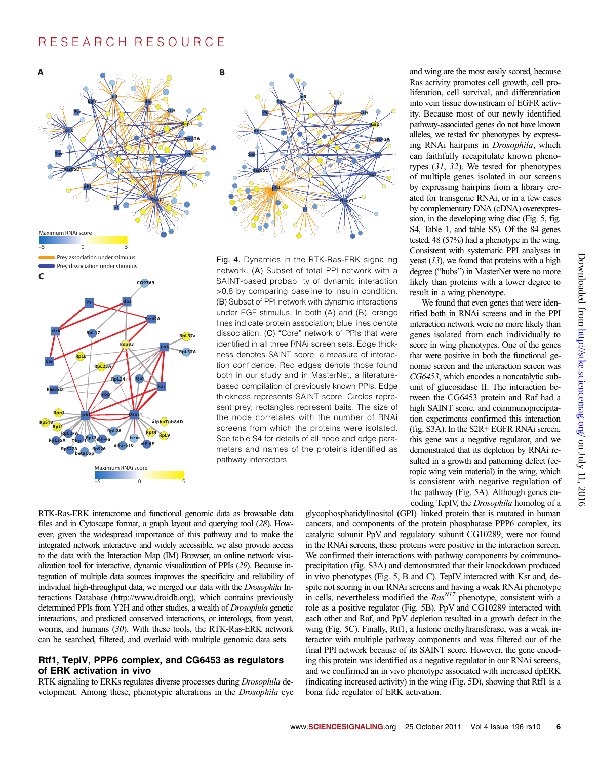



Fig. 4. Dynamics in the RTK-Ras-ERK signaling network. (A) Subset of total PPI network with a SAINT-based probability of dynamic interaction >0.8 by comparing baseline to insulin condition. (B) Subset of PPI network with dynamic interactions under EGF stimulus. In both (A) and (B), orange lines indicate protein association; blue lines denote dissociation. (C) "Core" network of PPIs that were identified in all three RNAi screen sets. Edge thickness denotes SAINT score, a measure of interaction confidence. Red edges denote those found both in our study and in MasterNet, a literaturebased compilation of previously known PPIs. Edge thickness represents SAINT score. Circles represent prey; rectangles represent baits. The size of the node correlates with the number of RNAi screens from which the proteins were isolated. See table S4 for details of all node and edge parameters and names of the proteins identified as pathway interactors.

and wing are the most easily scored, because Ras activity promotes cell growth, cell proliferation, cell survival, and differentiation into vein tissue downstream of EGFR activity. Because most of our newly identified pathway-associated genes do not have known alleles, we tested for phenotypes by expressing RNAi hairpins in Drosophila, which can faithfully recapitulate known phenotypes (31, 32). We tested for phenotypes of multiple genes isolated in our screens by expressing hairpins from a library created for transgenic RNAi, or in a few cases by complementary DNA (cDNA) overexpression, in the developing wing disc (Fig. 5, fig. S4, Table 1, and table S5). Of the 84 genes tested, 48 (57%) had a phenotype in the wing. Consistent with systematic PPI analyses in yeast  $(13)$ , we found that proteins with a high degree ("hubs") in MasterNet were no more likely than proteins with a lower degree to result in a wing phenotype.

We found that even genes that were identified both in RNAi screens and in the PPI interaction network were no more likely than genes isolated from each individually to score in wing phenotypes. One of the genes that were positive in both the functional genomic screen and the interaction screen was CG6453, which encodes a noncatalytic subunit of glucosidase II. The interaction between the CG6453 protein and Raf had a high SAINT score, and coimmunoprecipitation experiments confirmed this interaction (fig. S3A). In the S2R+ EGFR RNAi screen, this gene was a negative regulator, and we demonstrated that its depletion by RNAi resulted in a growth and patterning defect (ectopic wing vein material) in the wing, which is consistent with negative regulation of the pathway (Fig. 5A). Although genes encoding TepIV, the Drosophila homolog of a

RTK-Ras-ERK interactome and functional genomic data as browsable data files and in Cytoscape format, a graph layout and querying tool (28). However, given the widespread importance of this pathway and to make the integrated network interactive and widely accessible, we also provide access to the data with the Interaction Map (IM) Browser, an online network visualization tool for interactive, dynamic visualization of PPIs (29). Because integration of multiple data sources improves the specificity and reliability of individual high-throughput data, we merged our data with the Drosophila Interactions Database (http://www.droidb.org), which contains previously determined PPIs from Y2H and other studies, a wealth of Drosophila genetic interactions, and predicted conserved interactions, or interologs, from yeast, worms, and humans (30). With these tools, the RTK-Ras-ERK network can be searched, filtered, and overlaid with multiple genomic data sets.

### Rtf1, TepIV, PPP6 complex, and CG6453 as regulators of ERK activation in vivo

RTK signaling to ERKs regulates diverse processes during Drosophila development. Among these, phenotypic alterations in the Drosophila eye glycophosphatidylinositol (GPI)–linked protein that is mutated in human cancers, and components of the protein phosphatase PPP6 complex, its catalytic subunit PpV and regulatory subunit CG10289, were not found in the RNAi screens, these proteins were positive in the interaction screen. We confirmed their interactions with pathway components by coimmunoprecipitation (fig. S3A) and demonstrated that their knockdown produced in vivo phenotypes (Fig. 5, B and C). TepIV interacted with Ksr and, despite not scoring in our RNAi screens and having a weak RNAi phenotype in cells, nevertheless modified the  $Ras^{N17}$  phenotype, consistent with a role as a positive regulator (Fig. 5B). PpV and CG10289 interacted with each other and Raf, and PpV depletion resulted in a growth defect in the wing (Fig. 5C). Finally, Rtf1, a histone methyltransferase, was a weak interactor with multiple pathway components and was filtered out of the final PPI network because of its SAINT score. However, the gene encoding this protein was identified as a negative regulator in our RNAi screens, and we confirmed an in vivo phenotype associated with increased dpERK (indicating increased activity) in the wing (Fig. 5D), showing that Rtf1 is a bona fide regulator of ERK activation.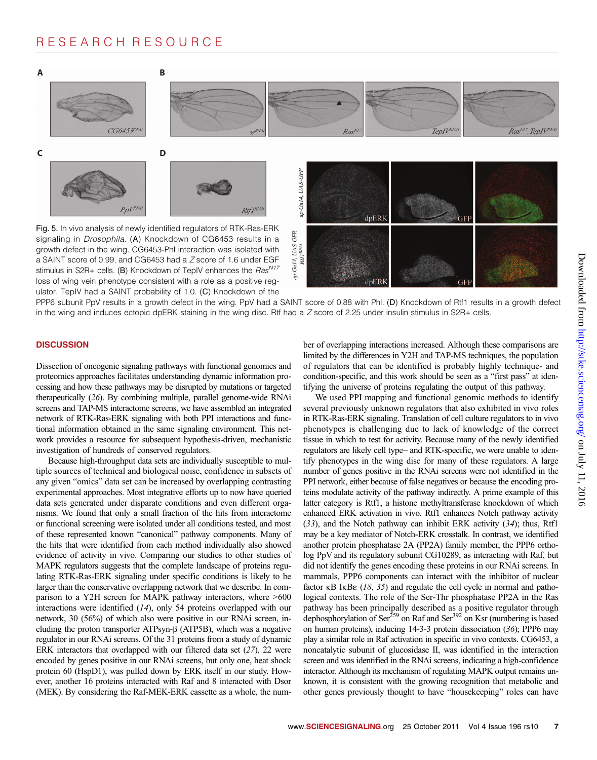

stimulus in S2R+ cells. (B) Knockdown of TepIV enhances the  $Ras<sup>N17</sup>$ loss of wing vein phenotype consistent with a role as a positive regulator. TepIV had a SAINT probability of 1.0. (C) Knockdown of the

Dissection of oncogenic signaling pathways with functional genomics and proteomics approaches facilitates understanding dynamic information processing and how these pathways may be disrupted by mutations or targeted therapeutically (26). By combining multiple, parallel genome-wide RNAi screens and TAP-MS interactome screens, we have assembled an integrated network of RTK-Ras-ERK signaling with both PPI interactions and functional information obtained in the same signaling environment. This network provides a resource for subsequent hypothesis-driven, mechanistic

Because high-throughput data sets are individually susceptible to multiple sources of technical and biological noise, confidence in subsets of any given "omics" data set can be increased by overlapping contrasting experimental approaches. Most integrative efforts up to now have queried data sets generated under disparate conditions and even different organisms. We found that only a small fraction of the hits from interactome or functional screening were isolated under all conditions tested, and most of these represented known "canonical" pathway components. Many of the hits that were identified from each method individually also showed evidence of activity in vivo. Comparing our studies to other studies of MAPK regulators suggests that the complete landscape of proteins regulating RTK-Ras-ERK signaling under specific conditions is likely to be larger than the conservative overlapping network that we describe. In comparison to a Y2H screen for MAPK pathway interactors, where >600 interactions were identified (14), only 54 proteins overlapped with our network, 30 (56%) of which also were positive in our RNAi screen, including the proton transporter ATPsyn- $\beta$  (ATP5B), which was a negative regulator in our RNAi screens. Of the 31 proteins from a study of dynamic ERK interactors that overlapped with our filtered data set (27), 22 were encoded by genes positive in our RNAi screens, but only one, heat shock protein 60 (HspD1), was pulled down by ERK itself in our study. However, another 16 proteins interacted with Raf and 8 interacted with Dsor (MEK). By considering the Raf-MEK-ERK cassette as a whole, the num-

investigation of hundreds of conserved regulators.

**DISCUSSION** 

ber of overlapping interactions increased. Although these comparisons are limited by the differences in Y2H and TAP-MS techniques, the population of regulators that can be identified is probably highly technique- and condition-specific, and this work should be seen as a "first pass" at iden-PPP6 subunit PpV results in a growth defect in the wing. PpV had a SAINT score of 0.88 with Phl. (D) Knockdown of Rtf1 results in a growth defect in the wing and induces ectopic dpERK staining in the wing disc. Rtf had a Z score of 2.25 under insulin stimulus in S2R+ cells.

> tifying the universe of proteins regulating the output of this pathway. We used PPI mapping and functional genomic methods to identify several previously unknown regulators that also exhibited in vivo roles in RTK-Ras-ERK signaling. Translation of cell culture regulators to in vivo phenotypes is challenging due to lack of knowledge of the correct tissue in which to test for activity. Because many of the newly identified regulators are likely cell type– and RTK-specific, we were unable to identify phenotypes in the wing disc for many of these regulators. A large number of genes positive in the RNAi screens were not identified in the PPI network, either because of false negatives or because the encoding proteins modulate activity of the pathway indirectly. A prime example of this latter category is Rtf1, a histone methyltransferase knockdown of which enhanced ERK activation in vivo. Rtf1 enhances Notch pathway activity (33), and the Notch pathway can inhibit ERK activity (34); thus, Rtf1 may be a key mediator of Notch-ERK crosstalk. In contrast, we identified another protein phosphatase 2A (PP2A) family member, the PPP6 ortholog PpV and its regulatory subunit CG10289, as interacting with Raf, but did not identify the genes encoding these proteins in our RNAi screens. In mammals, PPP6 components can interact with the inhibitor of nuclear factor  $\kappa$ B I $\kappa$ B $\epsilon$  (18, 35) and regulate the cell cycle in normal and pathological contexts. The role of the Ser-Thr phosphatase PP2A in the Ras pathway has been principally described as a positive regulator through dephosphorylation of  $\text{Ser}^{259}$  on Raf and  $\text{Ser}^{392}$  on Ksr (numbering is based on human proteins), inducing 14-3-3 protein dissociation (36); PPP6 may play a similar role in Raf activation in specific in vivo contexts. CG6453, a noncatalytic subunit of glucosidase II, was identified in the interaction screen and was identified in the RNAi screens, indicating a high-confidence interactor. Although its mechanism of regulating MAPK output remains unknown, it is consistent with the growing recognition that metabolic and other genes previously thought to have "housekeeping" roles can have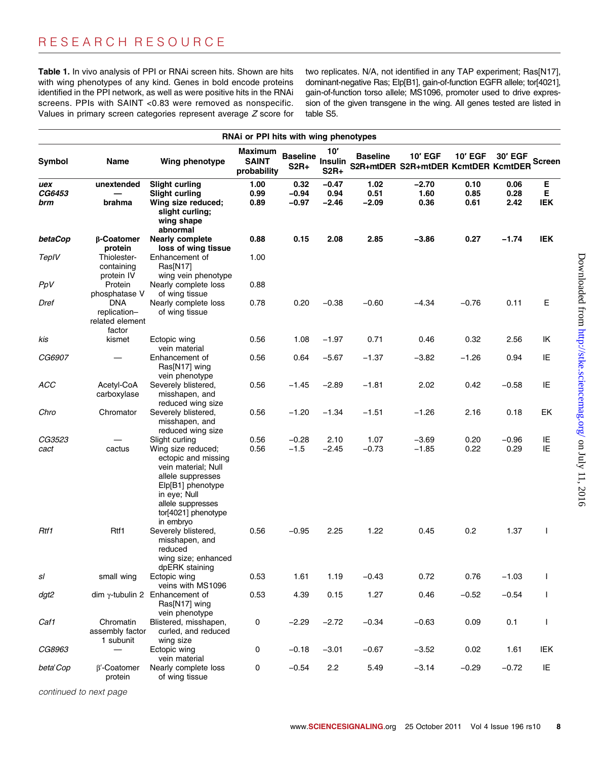Table 1. In vivo analysis of PPI or RNAi screen hits. Shown are hits with wing phenotypes of any kind. Genes in bold encode proteins identified in the PPI network, as well as were positive hits in the RNAi screens. PPIs with SAINT <0.83 were removed as nonspecific. Values in primary screen categories represent average Z score for two replicates. N/A, not identified in any TAP experiment; Ras[N17], dominant-negative Ras; Elp[B1], gain-of-function EGFR allele; tor[4021], gain-of-function torso allele; MS1096, promoter used to drive expression of the given transgene in the wing. All genes tested are listed in table S5.

|                      |                                                         |                                                                                                                                                                                                       | RNAI or PPI hits with wing phenotypes  |                            |                            |                         |                                                       |                      |                      |                      |
|----------------------|---------------------------------------------------------|-------------------------------------------------------------------------------------------------------------------------------------------------------------------------------------------------------|----------------------------------------|----------------------------|----------------------------|-------------------------|-------------------------------------------------------|----------------------|----------------------|----------------------|
| Symbol               | Name                                                    | Wing phenotype                                                                                                                                                                                        | <b>Maximum</b><br>SAINT<br>probability | <b>Baseline</b><br>$S2R+$  | 10'<br>Insulin<br>$S2R+$   | <b>Baseline</b>         | <b>10' EGF</b><br>S2R+mtDER S2R+mtDER KcmtDER KcmtDER | <b>10' EGF</b>       | <b>30' EGF</b>       | Screen               |
| uex<br>CG6453<br>brm | unextended<br>brahma                                    | Slight curling<br>Slight curling<br>Wing size reduced;<br>slight curling;<br>wing shape<br>abnormal                                                                                                   | 1.00<br>0.99<br>0.89                   | 0.32<br>$-0.94$<br>$-0.97$ | $-0.47$<br>0.94<br>$-2.46$ | 1.02<br>0.51<br>$-2.09$ | $-2.70$<br>1.60<br>0.36                               | 0.10<br>0.85<br>0.61 | 0.06<br>0.28<br>2.42 | Е<br>Е<br><b>IEK</b> |
| betaCop              | β-Coatomer                                              | <b>Nearly complete</b>                                                                                                                                                                                | 0.88                                   | 0.15                       | 2.08                       | 2.85                    | $-3.86$                                               | 0.27                 | $-1.74$              | <b>IEK</b>           |
| TepIV                | protein<br>Thiolester-<br>containing<br>protein IV      | loss of wing tissue<br>Enhancement of<br>Ras[N17]<br>wing vein phenotype                                                                                                                              | 1.00                                   |                            |                            |                         |                                                       |                      |                      |                      |
| PpV                  | Protein<br>phosphatase V                                | Nearly complete loss<br>of wing tissue                                                                                                                                                                | 0.88                                   |                            |                            |                         |                                                       |                      |                      |                      |
| Dref                 | <b>DNA</b><br>replication-<br>related element<br>factor | Nearly complete loss<br>of wing tissue                                                                                                                                                                | 0.78                                   | 0.20                       | $-0.38$                    | $-0.60$                 | $-4.34$                                               | $-0.76$              | 0.11                 | Е                    |
| kis                  | kismet                                                  | Ectopic wing<br>vein material                                                                                                                                                                         | 0.56                                   | 1.08                       | $-1.97$                    | 0.71                    | 0.46                                                  | 0.32                 | 2.56                 | ΙK                   |
| CG6907               |                                                         | Enhancement of<br>Ras[N17] wing<br>vein phenotype                                                                                                                                                     | 0.56                                   | 0.64                       | $-5.67$                    | $-1.37$                 | $-3.82$                                               | $-1.26$              | 0.94                 | ΙE                   |
| ACC                  | Acetyl-CoA<br>carboxylase                               | Severely blistered,<br>misshapen, and<br>reduced wing size                                                                                                                                            | 0.56                                   | $-1.45$                    | $-2.89$                    | $-1.81$                 | 2.02                                                  | 0.42                 | $-0.58$              | IE                   |
| Chro                 | Chromator                                               | Severely blistered,<br>misshapen, and<br>reduced wing size                                                                                                                                            | 0.56                                   | $-1.20$                    | $-1.34$                    | $-1.51$                 | $-1.26$                                               | 2.16                 | 0.18                 | EK                   |
| CG3523<br>cact       | cactus                                                  | Slight curling<br>Wing size reduced;<br>ectopic and missing<br>vein material; Null<br>allele suppresses<br>Elp[B1] phenotype<br>in eye; Null<br>allele suppresses<br>tor[4021] phenotype<br>in embryo | 0.56<br>0.56                           | $-0.28$<br>$-1.5$          | 2.10<br>$-2.45$            | 1.07<br>$-0.73$         | $-3.69$<br>$-1.85$                                    | 0.20<br>0.22         | $-0.96$<br>0.29      | ΙE<br>ΙE             |
| Rtf1                 | Rtf1                                                    | Severely blistered,<br>misshapen, and<br>reduced<br>wing size; enhanced<br>dpERK staining                                                                                                             | 0.56                                   | $-0.95$                    | 2.25                       | 1.22                    | 0.45                                                  | 0.2                  | 1.37                 | ı                    |
| sl                   | small wing                                              | Ectopic wing<br>veins with MS1096                                                                                                                                                                     | 0.53                                   | 1.61                       | 1.19                       | $-0.43$                 | 0.72                                                  | 0.76                 | $-1.03$              | I                    |
| dgt2                 |                                                         | $dim \gamma$ -tubulin 2 Enhancement of<br>Ras[N17] wing<br>vein phenotype                                                                                                                             | 0.53                                   | 4.39                       | 0.15                       | 1.27                    | 0.46                                                  | $-0.52$              | $-0.54$              | I                    |
| Caf1                 | Chromatin<br>assembly factor<br>1 subunit               | Blistered, misshapen,<br>curled, and reduced<br>wing size                                                                                                                                             | 0                                      | $-2.29$                    | $-2.72$                    | $-0.34$                 | $-0.63$                                               | 0.09                 | 0.1                  | $\mathbf{I}$         |
| CG8963               |                                                         | Ectopic wing<br>vein material                                                                                                                                                                         | 0                                      | $-0.18$                    | $-3.01$                    | $-0.67$                 | $-3.52$                                               | 0.02                 | 1.61                 | IEK                  |
| beta' Cop            | $\beta'$ -Coatomer<br>protein                           | Nearly complete loss<br>of wing tissue                                                                                                                                                                | 0                                      | $-0.54$                    | 2.2                        | 5.49                    | $-3.14$                                               | $-0.29$              | $-0.72$              | ΙE                   |

continued to next page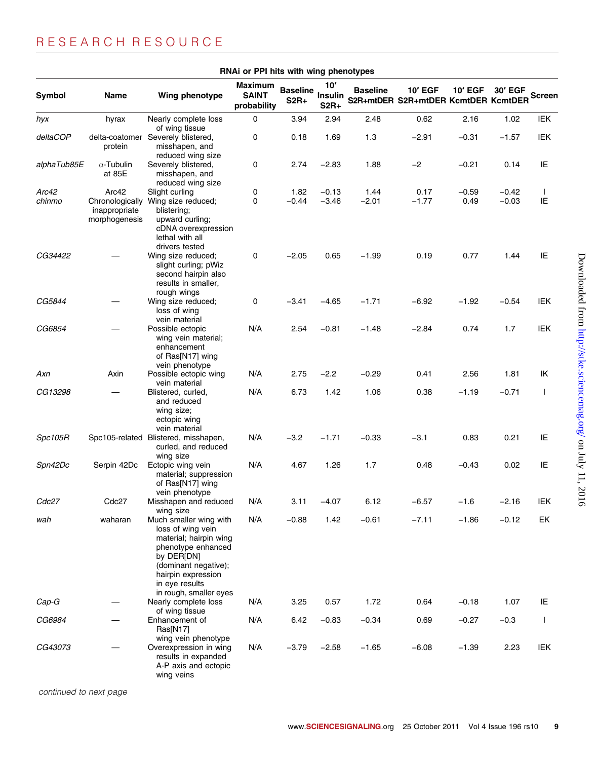|             |                                |                                                                                                                                                                                                     | RNAi or PPI hits with wing phenotypes         |                           |                                      |                 |                                                       |                |                |              |
|-------------|--------------------------------|-----------------------------------------------------------------------------------------------------------------------------------------------------------------------------------------------------|-----------------------------------------------|---------------------------|--------------------------------------|-----------------|-------------------------------------------------------|----------------|----------------|--------------|
| Symbol      | Name                           | Wing phenotype                                                                                                                                                                                      | <b>Maximum</b><br><b>SAINT</b><br>probability | <b>Baseline</b><br>$S2R+$ | 10'<br><b>Insulin</b><br><b>S2R+</b> | <b>Baseline</b> | <b>10' EGF</b><br>S2R+mtDER S2R+mtDER KcmtDER KcmtDER | <b>10' EGF</b> | <b>30' EGF</b> | Screen       |
| hyx         | hyrax                          | Nearly complete loss<br>of wing tissue                                                                                                                                                              | 0                                             | 3.94                      | 2.94                                 | 2.48            | 0.62                                                  | 2.16           | 1.02           | <b>IEK</b>   |
| deltaCOP    | protein                        | delta-coatomer Severely blistered,<br>misshapen, and<br>reduced wing size                                                                                                                           | 0                                             | 0.18                      | 1.69                                 | 1.3             | $-2.91$                                               | $-0.31$        | $-1.57$        | <b>IEK</b>   |
| alphaTub85E | $\alpha$ -Tubulin<br>at 85E    | Severely blistered,<br>misshapen, and<br>reduced wing size                                                                                                                                          | 0                                             | 2.74                      | $-2.83$                              | 1.88            | $-2$                                                  | $-0.21$        | 0.14           | IE           |
| Arc42       | Arc42                          | Slight curling                                                                                                                                                                                      | 0                                             | 1.82                      | $-0.13$                              | 1.44            | 0.17                                                  | $-0.59$        | $-0.42$        | $\mathbf{I}$ |
| chinmo      | inappropriate<br>morphogenesis | Chronologically Wing size reduced;<br>blistering;<br>upward curling;<br>cDNA overexpression<br>lethal with all<br>drivers tested                                                                    | 0                                             | $-0.44$                   | $-3.46$                              | $-2.01$         | $-1.77$                                               | 0.49           | $-0.03$        | ΙE           |
| CG34422     |                                | Wing size reduced;<br>slight curling; pWiz<br>second hairpin also<br>results in smaller,<br>rough wings                                                                                             | 0                                             | $-2.05$                   | 0.65                                 | $-1.99$         | 0.19                                                  | 0.77           | 1.44           | ΙE           |
| CG5844      |                                | Wing size reduced;<br>loss of wing<br>vein material                                                                                                                                                 | 0                                             | $-3.41$                   | $-4.65$                              | $-1.71$         | $-6.92$                                               | $-1.92$        | $-0.54$        | <b>IEK</b>   |
| CG6854      |                                | Possible ectopic<br>wing vein material;<br>enhancement<br>of Ras[N17] wing<br>vein phenotype                                                                                                        | N/A                                           | 2.54                      | $-0.81$                              | $-1.48$         | $-2.84$                                               | 0.74           | 1.7            | <b>IEK</b>   |
| Axn         | Axin                           | Possible ectopic wing<br>vein material                                                                                                                                                              | N/A                                           | 2.75                      | $-2.2$                               | $-0.29$         | 0.41                                                  | 2.56           | 1.81           | IK           |
| CG13298     |                                | Blistered, curled,<br>and reduced<br>wing size;<br>ectopic wing<br>vein material                                                                                                                    | N/A                                           | 6.73                      | 1.42                                 | 1.06            | 0.38                                                  | $-1.19$        | $-0.71$        | $\mathbf{I}$ |
| Spc105R     |                                | Spc105-related Blistered, misshapen,<br>curled, and reduced<br>wing size                                                                                                                            | N/A                                           | $-3.2$                    | $-1.71$                              | $-0.33$         | $-3.1$                                                | 0.83           | 0.21           | ΙE           |
| Spn42Dc     | Serpin 42Dc                    | Ectopic wing vein<br>material; suppression<br>of Ras[N17] wing<br>vein phenotype                                                                                                                    | N/A                                           | 4.67                      | 1.26                                 | 1.7             | 0.48                                                  | $-0.43$        | 0.02           | ΙE           |
| Cdc27       | Cdc27                          | Misshapen and reduced<br>wing size                                                                                                                                                                  | N/A                                           | 3.11                      | $-4.07$                              | 6.12            | $-6.57$                                               | $-1.6$         | $-2.16$        | IEK.         |
| wah         | waharan                        | Much smaller wing with<br>loss of wing vein<br>material; hairpin wing<br>phenotype enhanced<br>by DER[DN]<br>(dominant negative);<br>hairpin expression<br>in eye results<br>in rough, smaller eyes | N/A                                           | $-0.88$                   | 1.42                                 | $-0.61$         | $-7.11$                                               | $-1.86$        | $-0.12$        | EK           |
| Cap-G       |                                | Nearly complete loss<br>of wing tissue                                                                                                                                                              | N/A                                           | 3.25                      | 0.57                                 | 1.72            | 0.64                                                  | $-0.18$        | 1.07           | IE           |
| CG6984      |                                | Enhancement of<br>Ras[N17]<br>wing vein phenotype                                                                                                                                                   | N/A                                           | 6.42                      | $-0.83$                              | $-0.34$         | 0.69                                                  | $-0.27$        | $-0.3$         | $\mathbf{I}$ |
| CG43073     |                                | Overexpression in wing<br>results in expanded<br>A-P axis and ectopic<br>wing veins                                                                                                                 | N/A                                           | $-3.79$                   | $-2.58$                              | $-1.65$         | $-6.08$                                               | $-1.39$        | 2.23           | IEK          |

continued to next page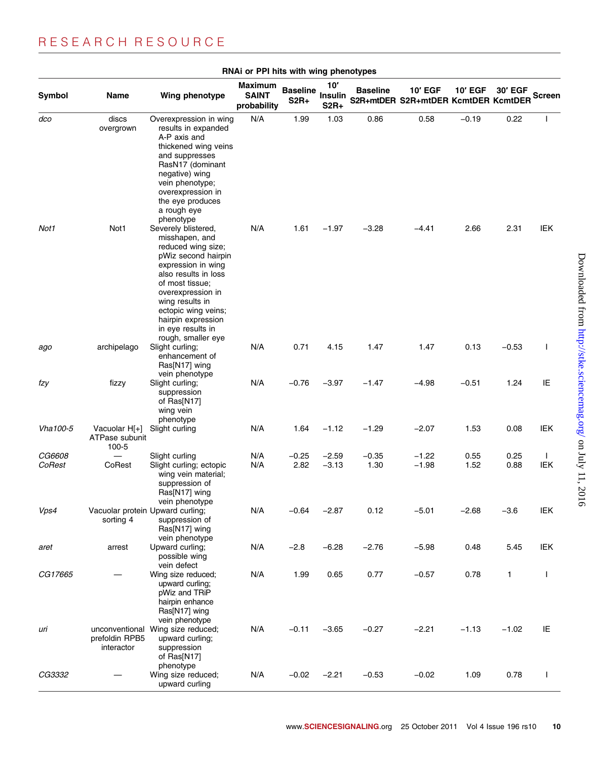|                         |                                                |                                                                                                                                                                                                                                                                                     | RNAi or PPI hits with wing phenotypes         |                         |                          |                 |                                                       |                |                |                     |
|-------------------------|------------------------------------------------|-------------------------------------------------------------------------------------------------------------------------------------------------------------------------------------------------------------------------------------------------------------------------------------|-----------------------------------------------|-------------------------|--------------------------|-----------------|-------------------------------------------------------|----------------|----------------|---------------------|
| Symbol                  | Name                                           | Wing phenotype                                                                                                                                                                                                                                                                      | <b>Maximum</b><br><b>SAINT</b><br>probability | <b>Baseline</b><br>S2R+ | 10'<br>Insulin<br>$S2R+$ | <b>Baseline</b> | <b>10' EGF</b><br>S2R+mtDER S2R+mtDER KcmtDER KcmtDER | <b>10' EGF</b> | <b>30' EGF</b> | Screen              |
| dco                     | discs<br>overgrown                             | Overexpression in wing<br>results in expanded<br>A-P axis and<br>thickened wing veins<br>and suppresses<br>RasN17 (dominant<br>negative) wing<br>vein phenotype;<br>overexpression in<br>the eye produces<br>a rough eye<br>phenotype                                               | N/A                                           | 1.99                    | 1.03                     | 0.86            | 0.58                                                  | $-0.19$        | 0.22           |                     |
| Not1                    | Not1                                           | Severely blistered,<br>misshapen, and<br>reduced wing size;<br>pWiz second hairpin<br>expression in wing<br>also results in loss<br>of most tissue;<br>overexpression in<br>wing results in<br>ectopic wing veins;<br>hairpin expression<br>in eve results in<br>rough, smaller eye | N/A                                           | 1.61                    | $-1.97$                  | $-3.28$         | -4.41                                                 | 2.66           | 2.31           | <b>IEK</b>          |
| ago                     | archipelago                                    | Slight curling;<br>enhancement of<br>Ras[N17] wing<br>vein phenotype                                                                                                                                                                                                                | N/A                                           | 0.71                    | 4.15                     | 1.47            | 1.47                                                  | 0.13           | $-0.53$        | $\mathbf{I}$        |
| fzy                     | fizzy                                          | Slight curling;<br>suppression<br>of Ras[N17]<br>wing vein<br>phenotype                                                                                                                                                                                                             | N/A                                           | $-0.76$                 | $-3.97$                  | $-1.47$         | $-4.98$                                               | $-0.51$        | 1.24           | IE                  |
| Vha100-5                | Vacuolar H[+]<br>ATPase subunit<br>$100 - 5$   | Slight curling                                                                                                                                                                                                                                                                      | N/A                                           | 1.64                    | $-1.12$                  | $-1.29$         | $-2.07$                                               | 1.53           | 0.08           | IEK                 |
| <i>CG6608</i><br>CoRest | CoRest                                         | Slight curling<br>Slight curling; ectopic<br>wing vein material;<br>suppression of<br>Ras[N17] wing<br>vein phenotype                                                                                                                                                               | N/A<br>N/A                                    | $-0.25$<br>2.82         | $-2.59$<br>$-3.13$       | $-0.35$<br>1.30 | $-1.22$<br>$-1.98$                                    | 0.55<br>1.52   | 0.25<br>0.88   | $\mathbf{I}$<br>IEK |
| Vps4                    | Vacuolar protein Upward curling;<br>sorting 4  | suppression of<br>Ras[N17] wing<br>vein phenotype                                                                                                                                                                                                                                   | N/A                                           | $-0.64$                 | $-2.87$                  | 0.12            | $-5.01$                                               | $-2.68$        | $-3.6$         | IEK.                |
| aret                    | arrest                                         | Upward curling;<br>possible wing<br>vein defect                                                                                                                                                                                                                                     | N/A                                           | $-2.8$                  | $-6.28$                  | $-2.76$         | $-5.98$                                               | 0.48           | 5.45           | <b>IEK</b>          |
| CG17665                 | —                                              | Wing size reduced;<br>upward curling;<br>pWiz and TRiP<br>hairpin enhance<br>Ras[N17] wing<br>vein phenotype                                                                                                                                                                        | N/A                                           | 1.99                    | 0.65                     | 0.77            | $-0.57$                                               | 0.78           | 1              | ı                   |
| uri                     | unconventional<br>prefoldin RPB5<br>interactor | Wing size reduced;<br>upward curling;<br>suppression<br>of Ras[N17]<br>phenotype                                                                                                                                                                                                    | N/A                                           | $-0.11$                 | $-3.65$                  | $-0.27$         | $-2.21$                                               | $-1.13$        | $-1.02$        | IE                  |
| CG3332                  |                                                | Wing size reduced;<br>upward curling                                                                                                                                                                                                                                                | N/A                                           | $-0.02$                 | $-2.21$                  | $-0.53$         | $-0.02$                                               | 1.09           | 0.78           | $\mathbf{I}$        |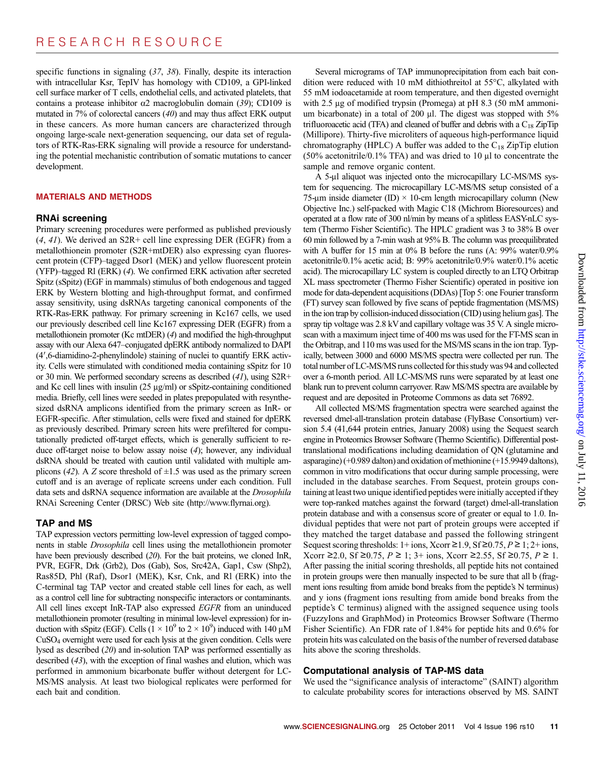specific functions in signaling (37, 38). Finally, despite its interaction with intracellular Ksr, TepIV has homology with CD109, a GPI-linked cell surface marker of T cells, endothelial cells, and activated platelets, that contains a protease inhibitor  $\alpha$ 2 macroglobulin domain (39); CD109 is mutated in 7% of colorectal cancers (40) and may thus affect ERK output in these cancers. As more human cancers are characterized through ongoing large-scale next-generation sequencing, our data set of regulators of RTK-Ras-ERK signaling will provide a resource for understanding the potential mechanistic contribution of somatic mutations to cancer development.

### MATERIALS AND METHODS

### RNAi screening

Primary screening procedures were performed as published previously  $(4, 41)$ . We derived an S2R+ cell line expressing DER (EGFR) from a metallothionein promoter (S2R+mtDER) also expressing cyan fluorescent protein (CFP)–tagged Dsor1 (MEK) and yellow fluorescent protein (YFP)–tagged Rl (ERK) (4). We confirmed ERK activation after secreted Spitz (sSpitz) (EGF in mammals) stimulus of both endogenous and tagged ERK by Western blotting and high-throughput format, and confirmed assay sensitivity, using dsRNAs targeting canonical components of the RTK-Ras-ERK pathway. For primary screening in Kc167 cells, we used our previously described cell line Kc167 expressing DER (EGFR) from a metallothionein promoter (Kc mtDER) (4) and modified the high-throughput assay with our Alexa 647–conjugated dpERK antibody normalized to DAPI (4′,6-diamidino-2-phenylindole) staining of nuclei to quantify ERK activity. Cells were stimulated with conditioned media containing sSpitz for 10 or 30 min. We performed secondary screens as described (41), using S2R+ and Kc cell lines with insulin  $(25 \mu g/ml)$  or sSpitz-containing conditioned media. Briefly, cell lines were seeded in plates prepopulated with resynthesized dsRNA amplicons identified from the primary screen as InR- or EGFR-specific. After stimulation, cells were fixed and stained for dpERK as previously described. Primary screen hits were prefiltered for computationally predicted off-target effects, which is generally sufficient to reduce off-target noise to below assay noise (4); however, any individual dsRNA should be treated with caution until validated with multiple amplicons (42). A Z score threshold of  $\pm 1.5$  was used as the primary screen cutoff and is an average of replicate screens under each condition. Full data sets and dsRNA sequence information are available at the Drosophila RNAi Screening Center (DRSC) Web site (http://www.flyrnai.org).

### TAP and MS

TAP expression vectors permitting low-level expression of tagged components in stable Drosophila cell lines using the metallothionein promoter have been previously described (20). For the bait proteins, we cloned InR, PVR, EGFR, Drk (Grb2), Dos (Gab), Sos, Src42A, Gap1, Csw (Shp2), Ras85D, Phl (Raf), Dsor1 (MEK), Ksr, Cnk, and Rl (ERK) into the C-terminal tag TAP vector and created stable cell lines for each, as well as a control cell line for subtracting nonspecific interactors or contaminants. All cell lines except InR-TAP also expressed EGFR from an uninduced metallothionein promoter (resulting in minimal low-level expression) for induction with sSpitz (EGF). Cells  $(1 \times 10^9$  to  $2 \times 10^9)$  induced with 140 µM<br>CuSO, overnight were used for each lysis at the given condition. Cells were CuSO4 overnight were used for each lysis at the given condition. Cells were lysed as described (20) and in-solution TAP was performed essentially as described (43), with the exception of final washes and elution, which was performed in ammonium bicarbonate buffer without detergent for LC-MS/MS analysis. At least two biological replicates were performed for each bait and condition.

Several micrograms of TAP immunoprecipitation from each bait condition were reduced with 10 mM dithiothreitol at 55°C, alkylated with 55 mM iodoacetamide at room temperature, and then digested overnight with 2.5 µg of modified trypsin (Promega) at pH 8.3 (50 mM ammonium bicarbonate) in a total of 200  $\mu$ l. The digest was stopped with 5% trifluoroacetic acid (TFA) and cleaned of buffer and debris with a  $C_{18}$  ZipTip (Millipore). Thirty-five microliters of aqueous high-performance liquid chromatography (HPLC) A buffer was added to the  $C_{18}$  ZipTip elution  $(50\%$  acetonitrile/0.1% TFA) and was dried to 10  $\mu$ l to concentrate the sample and remove organic content.

A 5-µl aliquot was injected onto the microcapillary LC-MS/MS system for sequencing. The microcapillary LC-MS/MS setup consisted of a 75-um inside diameter (ID)  $\times$  10-cm length microcapillary column (New Objective Inc.) self-packed with Magic C18 (Michrom Bioresources) and operated at a flow rate of 300 nl/min by means of a splitless EASY-nLC system (Thermo Fisher Scientific). The HPLC gradient was 3 to 38% B over 60 min followed by a 7-min wash at 95% B. The column was preequilibrated with A buffer for 15 min at 0% B before the runs (A: 99% water/0.9% acetonitrile/0.1% acetic acid; B: 99% acetonitrile/0.9% water/0.1% acetic acid). The microcapillary LC system is coupled directly to an LTQ Orbitrap XL mass spectrometer (Thermo Fisher Scientific) operated in positive ion mode for data-dependent acquisitions (DDAs) [Top 5: one Fourier transform (FT) survey scan followed by five scans of peptide fragmentation (MS/MS) in the ion trap by collision-induced dissociation (CID) using helium gas]. The spray tip voltage was 2.8 kV and capillary voltage was 35 V. A single microscan with a maximum inject time of 400 ms was used for the FT-MS scan in the Orbitrap, and 110 ms was used for the MS/MS scans in the ion trap. Typically, between 3000 and 6000 MS/MS spectra were collected per run. The total number of LC-MS/MS runs collected for this study was 94 and collected over a 6-month period. All LC-MS/MS runs were separated by at least one blank run to prevent column carryover. Raw MS/MS spectra are available by request and are deposited in Proteome Commons as data set 76892.

All collected MS/MS fragmentation spectra were searched against the reversed dmel-all-translation protein database (FlyBase Consortium) version 5.4 (41,644 protein entries, January 2008) using the Sequest search engine in Proteomics Browser Software (Thermo Scientific). Differential posttranslational modifications including deamidation of QN (glutamine and asparagine) (+0.989 dalton) and oxidation of methionine (+15.9949 daltons), common in vitro modifications that occur during sample processing, were included in the database searches. From Sequest, protein groups containing at least two unique identified peptides were initially accepted if they were top-ranked matches against the forward (target) dmel-all-translation protein database and with a consensus score of greater or equal to 1.0. Individual peptides that were not part of protein groups were accepted if they matched the target database and passed the following stringent Sequest scoring thresholds:  $1+$  ions, Xcorr  $\geq$  1.9, Sf  $\geq$  0.75,  $P \geq 1$ ;  $2+$  ions, Xcorr ≥2.0, Sf ≥0.75,  $P \ge 1$ ; 3+ ions, Xcorr ≥2.55, Sf ≥0.75,  $P \ge 1$ . After passing the initial scoring thresholds, all peptide hits not contained in protein groups were then manually inspected to be sure that all b (fragment ions resulting from amide bond breaks from the peptide's N terminus) and y ions (fragment ions resulting from amide bond breaks from the peptide's C terminus) aligned with the assigned sequence using tools (FuzzyIons and GraphMod) in Proteomics Browser Software (Thermo Fisher Scientific). An FDR rate of 1.84% for peptide hits and 0.6% for protein hits was calculated on the basis of the number of reversed database hits above the scoring thresholds.

### Computational analysis of TAP-MS data

We used the "significance analysis of interactome" (SAINT) algorithm to calculate probability scores for interactions observed by MS. SAINT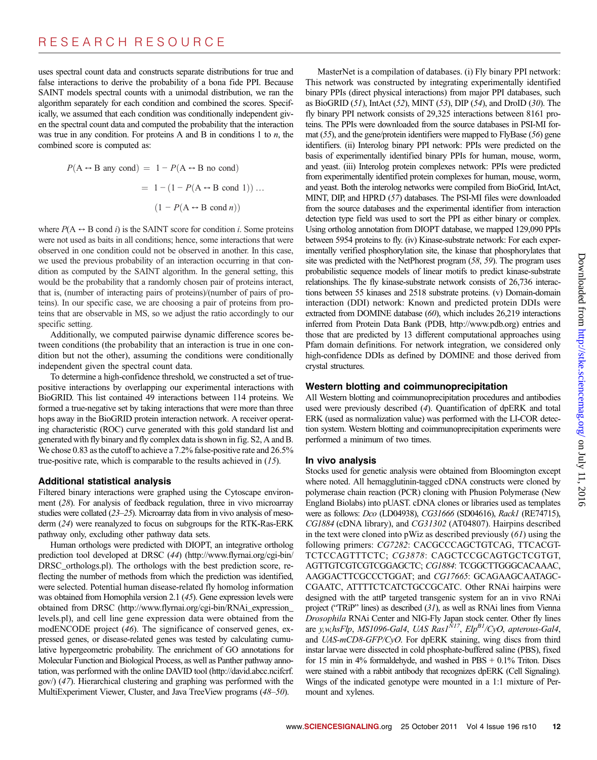uses spectral count data and constructs separate distributions for true and false interactions to derive the probability of a bona fide PPI. Because SAINT models spectral counts with a unimodal distribution, we ran the algorithm separately for each condition and combined the scores. Specifically, we assumed that each condition was conditionally independent given the spectral count data and computed the probability that the interaction was true in any condition. For proteins A and B in conditions  $1$  to  $n$ , the combined score is computed as:

> $P(A \leftrightarrow B$  any cond) = 1 –  $P(A \leftrightarrow B$  no cond)  $= 1 - (1 - P(A \leftrightarrow B \text{ cond } 1)) \dots$  $(1 - P(A \leftrightarrow B \text{ cond } n))$

where  $P(A \leftrightarrow B \text{ cond } i)$  is the SAINT score for condition *i*. Some proteins were not used as baits in all conditions; hence, some interactions that were observed in one condition could not be observed in another. In this case, we used the previous probability of an interaction occurring in that condition as computed by the SAINT algorithm. In the general setting, this would be the probability that a randomly chosen pair of proteins interact, that is, (number of interacting pairs of proteins)/(number of pairs of proteins). In our specific case, we are choosing a pair of proteins from proteins that are observable in MS, so we adjust the ratio accordingly to our specific setting.

Additionally, we computed pairwise dynamic difference scores between conditions (the probability that an interaction is true in one condition but not the other), assuming the conditions were conditionally independent given the spectral count data.

To determine a high-confidence threshold, we constructed a set of truepositive interactions by overlapping our experimental interactions with BioGRID. This list contained 49 interactions between 114 proteins. We formed a true-negative set by taking interactions that were more than three hops away in the BioGRID protein interaction network. A receiver operating characteristic (ROC) curve generated with this gold standard list and generated with fly binary and fly complex data is shown in fig. S2, A and B. We chose 0.83 as the cutoff to achieve a 7.2% false-positive rate and 26.5% true-positive rate, which is comparable to the results achieved in (15).

### Additional statistical analysis

Filtered binary interactions were graphed using the Cytoscape environment (28). For analysis of feedback regulation, three in vivo microarray studies were collated (23–25). Microarray data from in vivo analysis of mesoderm (24) were reanalyzed to focus on subgroups for the RTK-Ras-ERK pathway only, excluding other pathway data sets.

Human orthologs were predicted with DIOPT, an integrative ortholog prediction tool developed at DRSC (44) (http://www.flyrnai.org/cgi-bin/ DRSC\_orthologs.pl). The orthologs with the best prediction score, reflecting the number of methods from which the prediction was identified, were selected. Potential human disease-related fly homolog information was obtained from Homophila version 2.1 (45). Gene expression levels were obtained from DRSC (http://www.flyrnai.org/cgi-bin/RNAi\_expression\_ levels.pl), and cell line gene expression data were obtained from the modENCODE project (46). The significance of conserved genes, expressed genes, or disease-related genes was tested by calculating cumulative hypergeometric probability. The enrichment of GO annotations for Molecular Function and Biological Process, as well as Panther pathway annotation, was performed with the online DAVID tool (http://david.abcc.ncifcrf. gov/) (47). Hierarchical clustering and graphing was performed with the MultiExperiment Viewer, Cluster, and Java TreeView programs (48–50).

MasterNet is a compilation of databases. (i) Fly binary PPI network: This network was constructed by integrating experimentally identified binary PPIs (direct physical interactions) from major PPI databases, such as BioGRID (51), IntAct (52), MINT (53), DIP (54), and DroID (30). The fly binary PPI network consists of 29,325 interactions between 8161 proteins. The PPIs were downloaded from the source databases in PSI-MI format  $(55)$ , and the gene/protein identifiers were mapped to FlyBase  $(56)$  gene identifiers. (ii) Interolog binary PPI network: PPIs were predicted on the basis of experimentally identified binary PPIs for human, mouse, worm, and yeast. (iii) Interolog protein complexes network: PPIs were predicted from experimentally identified protein complexes for human, mouse, worm, and yeast. Both the interolog networks were compiled from BioGrid, IntAct, MINT, DIP, and HPRD (57) databases. The PSI-MI files were downloaded from the source databases and the experimental identifier from interaction detection type field was used to sort the PPI as either binary or complex. Using ortholog annotation from DIOPT database, we mapped 129,090 PPIs between 5954 proteins to fly. (iv) Kinase-substrate network: For each experimentally verified phosphorylation site, the kinase that phosphorylates that site was predicted with the NetPhorest program (58, 59). The program uses probabilistic sequence models of linear motifs to predict kinase-substrate relationships. The fly kinase-substrate network consists of 26,736 interactions between 55 kinases and 2518 substrate proteins. (v) Domain-domain interaction (DDI) network: Known and predicted protein DDIs were extracted from DOMINE database (60), which includes 26,219 interactions inferred from Protein Data Bank (PDB, http://www.pdb.org) entries and those that are predicted by 13 different computational approaches using Pfam domain definitions. For network integration, we considered only high-confidence DDIs as defined by DOMINE and those derived from crystal structures.

### Western blotting and coimmunoprecipitation

All Western blotting and coimmunoprecipitation procedures and antibodies used were previously described (4). Quantification of dpERK and total ERK (used as normalization value) was performed with the LI-COR detection system. Western blotting and coimmunoprecipitation experiments were performed a minimum of two times.

### In vivo analysis

Stocks used for genetic analysis were obtained from Bloomington except where noted. All hemagglutinin-tagged cDNA constructs were cloned by polymerase chain reaction (PCR) cloning with Phusion Polymerase (New England Biolabs) into pUAST. cDNA clones or libraries used as templates were as follows: Dco (LD04938), CG31666 (SD04616), Rack1 (RE74715), CG1884 (cDNA library), and CG31302 (AT04807). Hairpins described in the text were cloned into pWiz as described previously  $(61)$  using the following primers: CG7282: CACGCCCAGCTGTCAG, TTCACGT-TCTCCAGTTTCTC; CG3878: CAGCTCCGCAGTGCTCGTGT, AGTTGTCGTCGTCGGAGCTC; CG1884: TCGGCTTGGGCACAAAC, AAGGACTTCGCCCTGGAT; and CG17665: GCAGAAGCAATAGC-CGAATC, ATTTTCTCATCTGCCGCATC. Other RNAi hairpins were designed with the attP targeted transgenic system for an in vivo RNAi project ("TRiP" lines) as described (31), as well as RNAi lines from Vienna Drosophila RNAi Center and NIG-Fly Japan stock center. Other fly lines are y,w,hsFlp, MS1096-Gal4, UAS Ras1 $\bar{N}^{17}$ , Elp $\bar{B}^{1}/CyO$ , apterous-Gal4, and UAS-mCD8-GFP/CyO. For dpERK staining, wing discs from third instar larvae were dissected in cold phosphate-buffered saline (PBS), fixed for 15 min in 4% formaldehyde, and washed in  $PBS + 0.1\%$  Triton. Discs were stained with a rabbit antibody that recognizes dpERK (Cell Signaling). Wings of the indicated genotype were mounted in a 1:1 mixture of Permount and xylenes.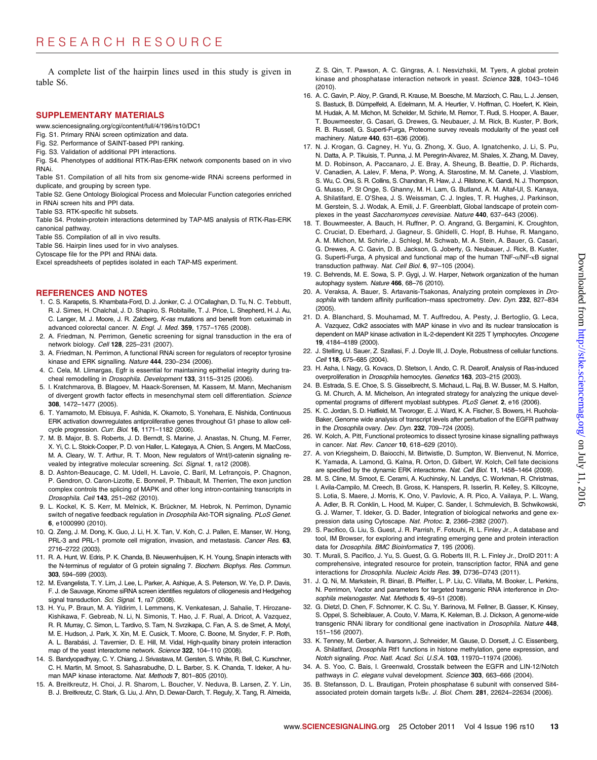A complete list of the hairpin lines used in this study is given in table S6.

#### SUPPLEMENTARY MATERIALS

www.sciencesignaling.org/cgi/content/full/4/196/rs10/DC1

- Fig. S1. Primary RNAi screen optimization and data.
- Fig. S2. Performance of SAINT-based PPI ranking.
- Fig. S3. Validation of additional PPI interactions.

Fig. S4. Phenotypes of additional RTK-Ras-ERK network components based on in vivo RNAi.

Table S1. Compilation of all hits from six genome-wide RNAi screens performed in duplicate, and grouping by screen type.

Table S2. Gene Ontology Biological Process and Molecular Function categories enriched in RNAi screen hits and PPI data.

Table S3. RTK-specific hit subsets.

Table S4. Protein-protein interactions determined by TAP-MS analysis of RTK-Ras-ERK canonical pathway.

Table S5. Compilation of all in vivo results.

Table S6. Hairpin lines used for in vivo analyses.

Cytoscape file for the PPI and RNAi data.

Excel spreadsheets of peptides isolated in each TAP-MS experiment.

### REFERENCES AND NOTES

- 1. C. S. Karapetis, S. Khambata-Ford, D. J. Jonker, C. J. O'Callaghan, D. Tu, N. C. Tebbutt, R. J. Simes, H. Chalchal, J. D. Shapiro, S. Robitaille, T. J. Price, L. Shepherd, H. J. Au, C. Langer, M. J. Moore, J. R. Zalcberg, K-ras mutations and benefit from cetuximab in advanced colorectal cancer. N. Engl. J. Med. 359, 1757–1765 (2008).
- 2. A. Friedman, N. Perrimon, Genetic screening for signal transduction in the era of network biology. Cell 128, 225–231 (2007).
- 3. A. Friedman, N. Perrimon, A functional RNAi screen for regulators of receptor tyrosine kinase and ERK signalling. Nature 444, 230–234 (2006).
- 4. C. Cela, M. Llimargas, Egfr is essential for maintaining epithelial integrity during tracheal remodelling in Drosophila. Development 133, 3115–3125 (2006).
- 5. I. Kratchmarova, B. Blagoev, M. Haack-Sorensen, M. Kassem, M. Mann, Mechanism of divergent growth factor effects in mesenchymal stem cell differentiation. Science 308, 1472–1477 (2005).
- 6. T. Yamamoto, M. Ebisuya, F. Ashida, K. Okamoto, S. Yonehara, E. Nishida, Continuous ERK activation downregulates antiproliferative genes throughout G1 phase to allow cellcycle progression. Curr. Biol. 16, 1171–1182 (2006).
- 7. M. B. Major, B. S. Roberts, J. D. Berndt, S. Marine, J. Anastas, N. Chung, M. Ferrer, X. Yi, C. L. Stoick-Cooper, P. D. von Haller, L. Kategaya, A. Chien, S. Angers, M. MacCoss, M. A. Cleary, W. T. Arthur, R. T. Moon, New regulators of Wnt/ß-catenin signaling revealed by integrative molecular screening. Sci. Signal. 1, ra12 (2008).
- 8. D. Ashton-Beaucage, C. M. Udell, H. Lavoie, C. Baril, M. Lefrançois, P. Chagnon, P. Gendron, O. Caron-Lizotte, E. Bonneil, P. Thibault, M. Therrien, The exon junction complex controls the splicing of MAPK and other long intron-containing transcripts in Drosophila. Cell 143, 251–262 (2010).
- 9. L. Kockel, K. S. Kerr, M. Melnick, K. Brückner, M. Hebrok, N. Perrimon, Dynamic switch of negative feedback regulation in Drosophila Akt-TOR signaling. PLoS Genet. 6, e1000990 (2010).
- 10. Q. Zeng, J. M. Dong, K. Guo, J. Li, H. X. Tan, V. Koh, C. J. Pallen, E. Manser, W. Hong, PRL-3 and PRL-1 promote cell migration, invasion, and metastasis. Cancer Res. 63, 2716–2722 (2003).
- 11. R. A. Hunt, W. Edris, P. K. Chanda, B. Nieuwenhuijsen, K. H. Young, Snapin interacts with the N-terminus of regulator of G protein signaling 7. Biochem. Biophys. Res. Commun. 303, 594–599 (2003).
- 12. M. Evangelista, T. Y. Lim, J. Lee, L. Parker, A. Ashique, A. S. Peterson, W. Ye, D. P. Davis, F. J. de Sauvage, Kinome siRNA screen identifies regulators of ciliogenesis and Hedgehog signal transduction. Sci. Signal. 1, ra7 (2008).
- 13. H. Yu, P. Braun, M. A. Yildirim, I. Lemmens, K. Venkatesan, J. Sahalie, T. Hirozane-Kishikawa, F. Gebreab, N. Li, N. Simonis, T. Hao, J. F. Rual, A. Dricot, A. Vazquez, R. R. Murray, C. Simon, L. Tardivo, S. Tam, N. Svrzikapa, C. Fan, A. S. de Smet, A. Motyl, M. E. Hudson, J. Park, X. Xin, M. E. Cusick, T. Moore, C. Boone, M. Snyder, F. P. Roth, A. L. Barabási, J. Tavernier, D. E. Hill, M. Vidal, High-quality binary protein interaction map of the yeast interactome network. Science 322, 104–110 (2008).
- 14. S. Bandyopadhyay, C. Y. Chiang, J. Srivastava, M. Gersten, S. White, R. Bell, C. Kurschner, C. H. Martin, M. Smoot, S. Sahasrabudhe, D. L. Barber, S. K. Chanda, T. Ideker, A human MAP kinase interactome. Nat. Methods 7, 801–805 (2010).
- 15. A. Breitkreutz, H. Choi, J. R. Sharom, L. Boucher, V. Neduva, B. Larsen, Z. Y. Lin, B. J. Breitkreutz, C. Stark, G. Liu, J. Ahn, D. Dewar-Darch, T. Reguly, X. Tang, R. Almeida,

Z. S. Qin, T. Pawson, A. C. Gingras, A. I. Nesvizhskii, M. Tyers, A global protein kinase and phosphatase interaction network in yeast. Science 328, 1043-1046  $(2010)$ 

- 16. A. C. Gavin, P. Aloy, P. Grandi, R. Krause, M. Boesche, M. Marzioch, C. Rau, L. J. Jensen, S. Bastuck, B. Dümpelfeld, A. Edelmann, M. A. Heurtier, V. Hoffman, C. Hoefert, K. Klein, M. Hudak, A. M. Michon, M. Schelder, M. Schirle, M. Remor, T. Rudi, S. Hooper, A. Bauer, T. Bouwmeester, G. Casari, G. Drewes, G. Neubauer, J. M. Rick, B. Kuster, P. Bork, R. B. Russell, G. Superti-Furga, Proteome survey reveals modularity of the yeast cell machinery. Nature 440, 631–636 (2006).
- 17. N. J. Krogan, G. Cagney, H. Yu, G. Zhong, X. Guo, A. Ignatchenko, J. Li, S. Pu, N. Datta, A. P. Tikuisis, T. Punna, J. M. Peregrin-Alvarez, M. Shales, X. Zhang, M. Davey, M. D. Robinson, A. Paccanaro, J. E. Bray, A. Sheung, B. Beattie, D. P. Richards, V. Canadien, A. Lalev, F. Mena, P. Wong, A. Starostine, M. M. Canete, J. Vlasblom, S. Wu, C. Orsi, S. R. Collins, S. Chandran, R. Haw, J. J. Rilstone, K. Gandi, N. J. Thompson, G. Musso, P. St Onge, S. Ghanny, M. H. Lam, G. Butland, A. M. Altaf-Ul, S. Kanaya, A. Shilatifard, E. O'Shea, J. S. Weissman, C. J. Ingles, T. R. Hughes, J. Parkinson, M. Gerstein, S. J. Wodak, A. Emili, J. F. Greenblatt, Global landscape of protein complexes in the yeast Saccharomyces cerevisiae. Nature 440, 637–643 (2006).
- 18. T. Bouwmeester, A. Bauch, H. Ruffner, P. O. Angrand, G. Bergamini, K. Croughton, C. Cruciat, D. Eberhard, J. Gagneur, S. Ghidelli, C. Hopf, B. Huhse, R. Mangano, A. M. Michon, M. Schirle, J. Schlegl, M. Schwab, M. A. Stein, A. Bauer, G. Casari, G. Drewes, A. C. Gavin, D. B. Jackson, G. Joberty, G. Neubauer, J. Rick, B. Kuster, G. Superti-Furga, A physical and functional map of the human TNF-a/NF- $\kappa$ B signal transduction pathway. Nat. Cell Biol. 6, 97-105 (2004).
- 19. C. Behrends, M. E. Sowa, S. P. Gygi, J. W. Harper, Network organization of the human autophagy system. Nature 466, 68–76 (2010).
- 20. A. Veraksa, A. Bauer, S. Artavanis-Tsakonas, Analyzing protein complexes in Drosophila with tandem affinity purification-mass spectrometry. Dev. Dyn. 232, 827-834 (2005).
- 21. D. A. Blanchard, S. Mouhamad, M. T. Auffredou, A. Pesty, J. Bertoglio, G. Leca, A. Vazquez, Cdk2 associates with MAP kinase in vivo and its nuclear translocation is dependent on MAP kinase activation in IL-2-dependent Kit 225 T lymphocytes. Oncogene 19, 4184–4189 (2000).
- 22. J. Stelling, U. Sauer, Z. Szallasi, F. J. Doyle III, J. Doyle, Robustness of cellular functions. Cell 118, 675-685 (2004).
- 23. H. Asha, I. Nagy, G. Kovacs, D. Stetson, I. Ando, C. R. Dearolf, Analysis of Ras-induced overproliferation in Drosophila hemocytes. Genetics 163, 203–215 (2003).
- 24. B. Estrada, S. E. Choe, S. S. Gisselbrecht, S. Michaud, L. Raj, B. W. Busser, M. S. Halfon, G. M. Church, A. M. Michelson, An integrated strategy for analyzing the unique developmental programs of different myoblast subtypes. PLoS Genet. 2, e16 (2006).
- 25. K. C. Jordan, S. D. Hatfield, M. Tworoger, E. J. Ward, K. A. Fischer, S. Bowers, H. Ruohola-Baker, Genome wide analysis of transcript levels after perturbation of the EGFR pathway in the Drosophila ovary. Dev. Dyn. 232, 709-724 (2005).
- 26. W. Kolch, A. Pitt, Functional proteomics to dissect tyrosine kinase signalling pathways in cancer. Nat. Rev. Cancer 10, 618–629 (2010).
- 27. A. von Kriegsheim, D. Baiocchi, M. Birtwistle, D. Sumpton, W. Bienvenut, N. Morrice, K. Yamada, A. Lamond, G. Kalna, R. Orton, D. Gilbert, W. Kolch, Cell fate decisions are specified by the dynamic ERK interactome. Nat. Cell Biol. 11, 1458-1464 (2009).
- 28. M. S. Cline, M. Smoot, E. Cerami, A. Kuchinsky, N. Landys, C. Workman, R. Christmas, I. Avila-Campilo, M. Creech, B. Gross, K. Hanspers, R. Isserlin, R. Kelley, S. Killcoyne, S. Lotia, S. Maere, J. Morris, K. Ono, V. Pavlovic, A. R. Pico, A. Vailaya, P. L. Wang, A. Adler, B. R. Conklin, L. Hood, M. Kuiper, C. Sander, I. Schmulevich, B. Schwikowski, G. J. Warner, T. Ideker, G. D. Bader, Integration of biological networks and gene expression data using Cytoscape. Nat. Protoc. 2, 2366-2382 (2007).
- 29. S. Pacifico, G. Liu, S. Guest, J. R. Parrish, F. Fotouhi, R. L. Finley Jr., A database and tool, IM Browser, for exploring and integrating emerging gene and protein interaction data for Drosophila. BMC Bioinformatics 7, 195 (2006).
- 30. T. Murali, S. Pacifico, J. Yu, S. Guest, G. G. Roberts III, R. L. Finley Jr., DroID 2011: A comprehensive, integrated resource for protein, transcription factor, RNA and gene interactions for Drosophila. Nucleic Acids Res. 39, D736-D743 (2011).
- 31. J. Q. Ni, M. Markstein, R. Binari, B. Pfeiffer, L. P. Liu, C. Villalta, M. Booker, L. Perkins, N. Perrimon, Vector and parameters for targeted transgenic RNA interference in Drosophila melanogaster. Nat. Methods 5, 49-51 (2008).
- 32. G. Dietzl, D. Chen, F. Schnorrer, K. C. Su, Y. Barinova, M. Fellner, B. Gasser, K. Kinsey, S. Oppel, S. Scheiblauer, A. Couto, V. Marra, K. Keleman, B. J. Dickson, A genome-wide transgenic RNAi library for conditional gene inactivation in Drosophila. Nature 448, 151–156 (2007).
- 33. K. Tenney, M. Gerber, A. Ilvarsonn, J. Schneider, M. Gause, D. Dorsett, J. C. Eissenberg, A. Shilatifard, Drosophila Rtf1 functions in histone methylation, gene expression, and Notch signaling. Proc. Natl. Acad. Sci. U.S.A. 103, 11970–11974 (2006).
- 34. A. S. Yoo, C. Bais, I. Greenwald, Crosstalk between the EGFR and LIN-12/Notch pathways in C. elegans vulval development. Science 303, 663-666 (2004).
- 35. B. Stefansson, D. L. Brautigan, Protein phosphatase 6 subunit with conserved Sit4 associated protein domain targets IkBe. J. Biol. Chem. 281, 22624-22634 (2006).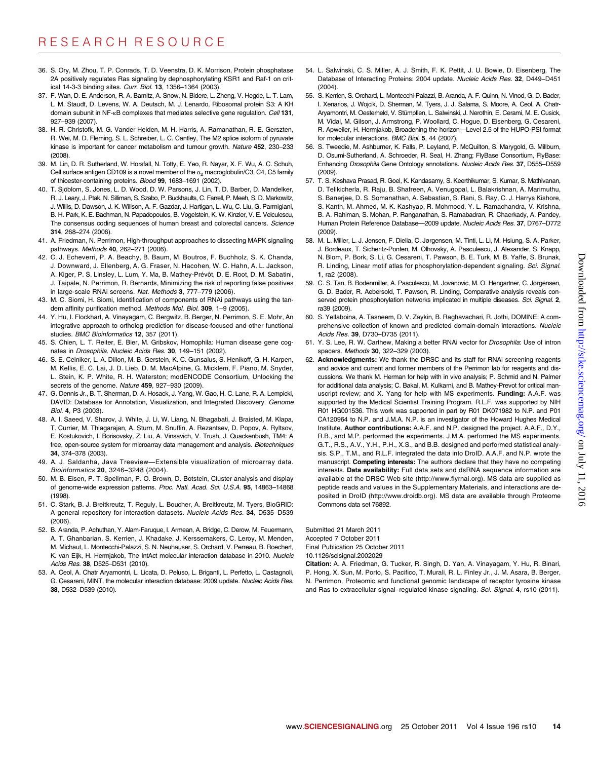- 36. S. Ory, M. Zhou, T. P. Conrads, T. D. Veenstra, D. K. Morrison, Protein phosphatase 2A positively regulates Ras signaling by dephosphorylating KSR1 and Raf-1 on critical 14-3-3 binding sites. Curr. Biol. 13, 1356–1364 (2003).
- 37. F. Wan, D. E. Anderson, R. A. Barnitz, A. Snow, N. Bidere, L. Zheng, V. Hegde, L. T. Lam, L. M. Staudt, D. Levens, W. A. Deutsch, M. J. Lenardo, Ribosomal protein S3: A KH domain subunit in NF-KB complexes that mediates selective gene regulation. Cell 131, 927–939 (2007).
- 38. H. R. Christofk, M. G. Vander Heiden, M. H. Harris, A. Ramanathan, R. E. Gerszten, R. Wei, M. D. Fleming, S. L. Schreiber, L. C. Cantley, The M2 splice isoform of pyruvate kinase is important for cancer metabolism and tumour growth. Nature 452, 230-233 (2008).
- 39. M. Lin, D. R. Sutherland, W. Horsfall, N. Totty, E. Yeo, R. Nayar, X. F. Wu, A. C. Schuh, Cell surface antigen CD109 is a novel member of the  $\alpha_2$  macroglobulin/C3, C4, C5 family of thioester-containing proteins. Blood 99, 1683–1691 (2002).
- 40. T. Sjöblom, S. Jones, L. D. Wood, D. W. Parsons, J. Lin, T. D. Barber, D. Mandelker, R. J. Leary, J. Ptak, N. Silliman, S. Szabo, P. Buckhaults, C. Farrell, P. Meeh, S. D. Markowitz, J. Willis, D. Dawson, J. K. Willson, A. F. Gazdar, J. Hartigan, L. Wu, C. Liu, G. Parmigiani, B. H. Park, K. E. Bachman, N. Papadopoulos, B. Vogelstein, K. W. Kinzler, V. E. Velculescu, The consensus coding sequences of human breast and colorectal cancers. Science 314, 268–274 (2006).
- 41. A. Friedman, N. Perrimon, High-throughput approaches to dissecting MAPK signaling pathways. Methods 40, 262–271 (2006).
- 42. C. J. Echeverri, P. A. Beachy, B. Baum, M. Boutros, F. Buchholz, S. K. Chanda, J. Downward, J. Ellenberg, A. G. Fraser, N. Hacohen, W. C. Hahn, A. L. Jackson, A. Kiger, P. S. Linsley, L. Lum, Y. Ma, B. Mathey-Prévôt, D. E. Root, D. M. Sabatini, J. Taipale, N. Perrimon, R. Bernards, Minimizing the risk of reporting false positives in large-scale RNAi screens. Nat. Methods 3, 777–779 (2006).
- 43. M. C. Siomi, H. Siomi, Identification of components of RNAi pathways using the tandem affinity purification method. Methods Mol. Biol. 309, 1-9 (2005).
- 44. Y. Hu, I. Flockhart, A. Vinayagam, C. Bergwitz, B. Berger, N. Perrimon, S. E. Mohr, An integrative approach to ortholog prediction for disease-focused and other functional studies. BMC Bioinformatics 12, 357 (2011).
- 45. S. Chien, L. T. Reiter, E. Bier, M. Gribskov, Homophila: Human disease gene cognates in Drosophila. Nucleic Acids Res. 30, 149–151 (2002).
- 46. S. E. Celniker, L. A. Dillon, M. B. Gerstein, K. C. Gunsalus, S. Henikoff, G. H. Karpen, M. Kellis, E. C. Lai, J. D. Lieb, D. M. MacAlpine, G. Micklem, F. Piano, M. Snyder, L. Stein, K. P. White, R. H. Waterston; modENCODE Consortium, Unlocking the secrets of the genome. Nature 459, 927-930 (2009).
- 47. G. Dennis Jr., B. T. Sherman, D. A. Hosack, J. Yang, W. Gao, H. C. Lane, R. A. Lempicki, DAVID: Database for Annotation, Visualization, and Integrated Discovery. Genome Biol. 4, P3 (2003).
- 48. A. I. Saeed, V. Sharov, J. White, J. Li, W. Liang, N. Bhagabati, J. Braisted, M. Klapa, T. Currier, M. Thiagarajan, A. Sturn, M. Snuffin, A. Rezantsev, D. Popov, A. Ryltsov, E. Kostukovich, I. Borisovsky, Z. Liu, A. Vinsavich, V. Trush, J. Quackenbush, TM4: A free, open-source system for microarray data management and analysis. Biotechniques 34, 374–378 (2003).
- 49. A. J. Saldanha, Java Treeview—Extensible visualization of microarray data. Bioinformatics 20, 3246–3248 (2004).
- 50. M. B. Eisen, P. T. Spellman, P. O. Brown, D. Botstein, Cluster analysis and display of genome-wide expression patterns. Proc. Natl. Acad. Sci. U.S.A. 95, 14863–14868 (1998).
- 51. C. Stark, B. J. Breitkreutz, T. Reguly, L. Boucher, A. Breitkreutz, M. Tyers, BioGRID: A general repository for interaction datasets. Nucleic Acids Res. 34, D535–D539  $(2006)$
- 52. B. Aranda, P. Achuthan, Y. Alam-Faruque, I. Armean, A. Bridge, C. Derow, M. Feuermann, A. T. Ghanbarian, S. Kerrien, J. Khadake, J. Kerssemakers, C. Leroy, M. Menden, M. Michaut, L. Montecchi-Palazzi, S. N. Neuhauser, S. Orchard, V. Perreau, B. Roechert, K. van Eijk, H. Hermiakob, The IntAct molecular interaction database in 2010. Nucleic Acids Res. 38, D525–D531 (2010).
- 53. A. Ceol, A. Chatr Aryamontri, L. Licata, D. Peluso, L. Briganti, L. Perfetto, L. Castagnoli, G. Cesareni, MINT, the molecular interaction database: 2009 update. Nucleic Acids Res. 38, D532–D539 (2010).
- 54. L. Salwinski, C. S. Miller, A. J. Smith, F. K. Pettit, J. U. Bowie, D. Eisenberg, The Database of Interacting Proteins: 2004 update. Nucleic Acids Res. 32, D449–D451 (2004).
- 55. S. Kerrien, S. Orchard, L. Montecchi-Palazzi, B. Aranda, A. F. Quinn, N. Vinod, G. D. Bader, I. Xenarios, J. Wojcik, D. Sherman, M. Tyers, J. J. Salama, S. Moore, A. Ceol, A. Chatr-Aryamontri, M. Oesterheld, V. Stümpflen, L. Salwinski, J. Nerothin, E. Cerami, M. E. Cusick, M. Vidal, M. Gilson, J. Armstrong, P. Woollard, C. Hogue, D. Eisenberg, G. Cesareni, R. Apweiler, H. Hermjakob, Broadening the horizon—Level 2.5 of the HUPO-PSI format for molecular interactions. BMC Biol. 5, 44 (2007).
- 56. S. Tweedie, M. Ashburner, K. Falls, P. Leyland, P. McQuilton, S. Marygold, G. Millburn, D. Osumi-Sutherland, A. Schroeder, R. Seal, H. Zhang; FlyBase Consortium, FlyBase: Enhancing Drosophila Gene Ontology annotations. Nucleic Acids Res. 37, D555–D559 (2009).
- 57. T. S. Keshava Prasad, R. Goel, K. Kandasamy, S. Keerthikumar, S. Kumar, S. Mathivanan, D. Telikicherla, R. Raju, B. Shafreen, A. Venugopal, L. Balakrishnan, A. Marimuthu, S. Banerjee, D. S. Somanathan, A. Sebastian, S. Rani, S. Ray, C. J. Harrys Kishore, S. Kanth, M. Ahmed, M. K. Kashyap, R. Mohmood, Y. L. Ramachandra, V. Krishna, B. A. Rahiman, S. Mohan, P. Ranganathan, S. Ramabadran, R. Chaerkady, A. Pandey, Human Protein Reference Database—2009 update. Nucleic Acids Res. 37, D767–D772 (2009).
- 58. M. L. Miller, L. J. Jensen, F. Diella, C. Jørgensen, M. Tinti, L. Li, M. Hsiung, S. A. Parker, J. Bordeaux, T. Sicheritz-Ponten, M. Olhovsky, A. Pasculescu, J. Alexander, S. Knapp, N. Blom, P. Bork, S. Li, G. Cesareni, T. Pawson, B. E. Turk, M. B. Yaffe, S. Brunak, R. Linding, Linear motif atlas for phosphorylation-dependent signaling. Sci. Signal. 1, ra2 (2008).
- 59. C. S. Tan, B. Bodenmiller, A. Pasculescu, M. Jovanovic, M. O. Hengartner, C. Jørgensen, G. D. Bader, R. Aebersold, T. Pawson, R. Linding, Comparative analysis reveals conserved protein phosphorylation networks implicated in multiple diseases. Sci. Signal. 2, ra39 (2009)
- 60. S. Yellaboina, A. Tasneem, D. V. Zaykin, B. Raghavachari, R. Jothi, DOMINE: A comprehensive collection of known and predicted domain-domain interactions. Nucleic Acids Res. 39, D730-D735 (2011).
- 61. Y. S. Lee, R. W. Carthew, Making a better RNAi vector for Drosophila: Use of intron spacers. Methods 30, 322–329 (2003).
- 62. Acknowledgments: We thank the DRSC and its staff for RNAi screening reagents and advice and current and former members of the Perrimon lab for reagents and discussions. We thank M. Herman for help with in vivo analysis; P. Schmid and N. Palmer for additional data analysis; C. Bakal, M. Kulkami, and B. Mathey-Prevot for critical manuscript review; and X. Yang for help with MS experiments. Funding: A.A.F. was supported by the Medical Scientist Training Program. R.L.F. was supported by NIH R01 HG001536. This work was supported in part by R01 DK071982 to N.P. and P01 CA120964 to N.P. and J.M.A. N.P. is an investigator of the Howard Hughes Medical Institute. Author contributions: A.A.F. and N.P. designed the project. A.A.F., D.Y., R.B., and M.P. performed the experiments. J.M.A. performed the MS experiments. G.T., R.S., A.V., Y.H., P.H., X.S., and B.B. designed and performed statistical analysis. S.P., T.M., and R.L.F. integrated the data into DroID. A.A.F. and N.P. wrote the manuscript. Competing interests: The authors declare that they have no competing interests. Data availability: Full data sets and dsRNA sequence information are available at the DRSC Web site (http://www.flyrnai.org). MS data are supplied as peptide reads and values in the Supplementary Materials, and interactions are deposited in DroID (http://www.droidb.org). MS data are available through Proteome Commons data set 76892.

Submitted 21 March 2011 Accepted 7 October 2011 Final Publication 25 October 2011 10.1126/scisignal.2002029

Citation: A. A. Friedman, G. Tucker, R. Singh, D. Yan, A. Vinayagam, Y. Hu, R. Binari, P. Hong, X. Sun, M. Porto, S. Pacifico, T. Murali, R. L. Finley Jr., J. M. Asara, B. Berger, N. Perrimon, Proteomic and functional genomic landscape of receptor tyrosine kinase and Ras to extracellular signal-regulated kinase signaling. Sci. Signal. 4, rs10 (2011).